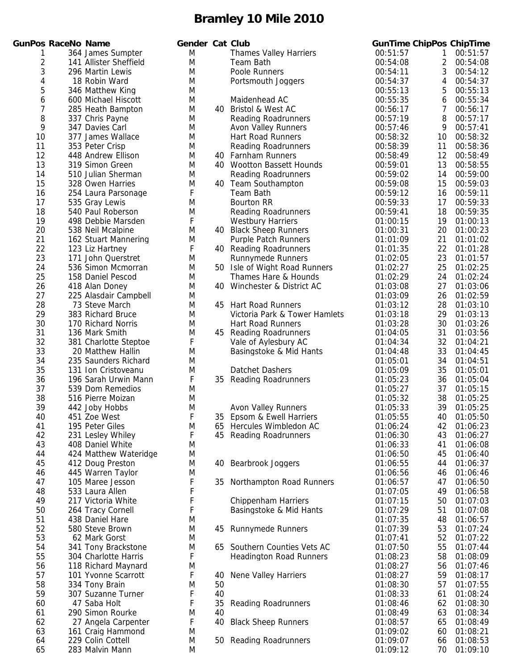|                 | Ger                                                                                                                                                                                                                                                                                                                                                                                                                                                                                                                                                                                                                                                                                                                                                                                                                                                                                                                                                                                                                                                                                                                                                                                                                                                                                                                                                                                                    |
|-----------------|--------------------------------------------------------------------------------------------------------------------------------------------------------------------------------------------------------------------------------------------------------------------------------------------------------------------------------------------------------------------------------------------------------------------------------------------------------------------------------------------------------------------------------------------------------------------------------------------------------------------------------------------------------------------------------------------------------------------------------------------------------------------------------------------------------------------------------------------------------------------------------------------------------------------------------------------------------------------------------------------------------------------------------------------------------------------------------------------------------------------------------------------------------------------------------------------------------------------------------------------------------------------------------------------------------------------------------------------------------------------------------------------------------|
|                 | N                                                                                                                                                                                                                                                                                                                                                                                                                                                                                                                                                                                                                                                                                                                                                                                                                                                                                                                                                                                                                                                                                                                                                                                                                                                                                                                                                                                                      |
|                 | N                                                                                                                                                                                                                                                                                                                                                                                                                                                                                                                                                                                                                                                                                                                                                                                                                                                                                                                                                                                                                                                                                                                                                                                                                                                                                                                                                                                                      |
|                 |                                                                                                                                                                                                                                                                                                                                                                                                                                                                                                                                                                                                                                                                                                                                                                                                                                                                                                                                                                                                                                                                                                                                                                                                                                                                                                                                                                                                        |
|                 | Ν                                                                                                                                                                                                                                                                                                                                                                                                                                                                                                                                                                                                                                                                                                                                                                                                                                                                                                                                                                                                                                                                                                                                                                                                                                                                                                                                                                                                      |
|                 | N                                                                                                                                                                                                                                                                                                                                                                                                                                                                                                                                                                                                                                                                                                                                                                                                                                                                                                                                                                                                                                                                                                                                                                                                                                                                                                                                                                                                      |
|                 | N                                                                                                                                                                                                                                                                                                                                                                                                                                                                                                                                                                                                                                                                                                                                                                                                                                                                                                                                                                                                                                                                                                                                                                                                                                                                                                                                                                                                      |
|                 | N                                                                                                                                                                                                                                                                                                                                                                                                                                                                                                                                                                                                                                                                                                                                                                                                                                                                                                                                                                                                                                                                                                                                                                                                                                                                                                                                                                                                      |
|                 | N                                                                                                                                                                                                                                                                                                                                                                                                                                                                                                                                                                                                                                                                                                                                                                                                                                                                                                                                                                                                                                                                                                                                                                                                                                                                                                                                                                                                      |
|                 | Ν                                                                                                                                                                                                                                                                                                                                                                                                                                                                                                                                                                                                                                                                                                                                                                                                                                                                                                                                                                                                                                                                                                                                                                                                                                                                                                                                                                                                      |
|                 | $\mathsf{N}$                                                                                                                                                                                                                                                                                                                                                                                                                                                                                                                                                                                                                                                                                                                                                                                                                                                                                                                                                                                                                                                                                                                                                                                                                                                                                                                                                                                           |
|                 | N                                                                                                                                                                                                                                                                                                                                                                                                                                                                                                                                                                                                                                                                                                                                                                                                                                                                                                                                                                                                                                                                                                                                                                                                                                                                                                                                                                                                      |
|                 | Ŋ                                                                                                                                                                                                                                                                                                                                                                                                                                                                                                                                                                                                                                                                                                                                                                                                                                                                                                                                                                                                                                                                                                                                                                                                                                                                                                                                                                                                      |
|                 | Ŋ                                                                                                                                                                                                                                                                                                                                                                                                                                                                                                                                                                                                                                                                                                                                                                                                                                                                                                                                                                                                                                                                                                                                                                                                                                                                                                                                                                                                      |
|                 | N                                                                                                                                                                                                                                                                                                                                                                                                                                                                                                                                                                                                                                                                                                                                                                                                                                                                                                                                                                                                                                                                                                                                                                                                                                                                                                                                                                                                      |
|                 | N                                                                                                                                                                                                                                                                                                                                                                                                                                                                                                                                                                                                                                                                                                                                                                                                                                                                                                                                                                                                                                                                                                                                                                                                                                                                                                                                                                                                      |
|                 | N                                                                                                                                                                                                                                                                                                                                                                                                                                                                                                                                                                                                                                                                                                                                                                                                                                                                                                                                                                                                                                                                                                                                                                                                                                                                                                                                                                                                      |
|                 | f                                                                                                                                                                                                                                                                                                                                                                                                                                                                                                                                                                                                                                                                                                                                                                                                                                                                                                                                                                                                                                                                                                                                                                                                                                                                                                                                                                                                      |
|                 | Ŋ                                                                                                                                                                                                                                                                                                                                                                                                                                                                                                                                                                                                                                                                                                                                                                                                                                                                                                                                                                                                                                                                                                                                                                                                                                                                                                                                                                                                      |
|                 | Ŋ                                                                                                                                                                                                                                                                                                                                                                                                                                                                                                                                                                                                                                                                                                                                                                                                                                                                                                                                                                                                                                                                                                                                                                                                                                                                                                                                                                                                      |
|                 | f                                                                                                                                                                                                                                                                                                                                                                                                                                                                                                                                                                                                                                                                                                                                                                                                                                                                                                                                                                                                                                                                                                                                                                                                                                                                                                                                                                                                      |
|                 | N                                                                                                                                                                                                                                                                                                                                                                                                                                                                                                                                                                                                                                                                                                                                                                                                                                                                                                                                                                                                                                                                                                                                                                                                                                                                                                                                                                                                      |
|                 | Ν                                                                                                                                                                                                                                                                                                                                                                                                                                                                                                                                                                                                                                                                                                                                                                                                                                                                                                                                                                                                                                                                                                                                                                                                                                                                                                                                                                                                      |
|                 | f                                                                                                                                                                                                                                                                                                                                                                                                                                                                                                                                                                                                                                                                                                                                                                                                                                                                                                                                                                                                                                                                                                                                                                                                                                                                                                                                                                                                      |
|                 | Ŋ                                                                                                                                                                                                                                                                                                                                                                                                                                                                                                                                                                                                                                                                                                                                                                                                                                                                                                                                                                                                                                                                                                                                                                                                                                                                                                                                                                                                      |
|                 | N                                                                                                                                                                                                                                                                                                                                                                                                                                                                                                                                                                                                                                                                                                                                                                                                                                                                                                                                                                                                                                                                                                                                                                                                                                                                                                                                                                                                      |
|                 | N                                                                                                                                                                                                                                                                                                                                                                                                                                                                                                                                                                                                                                                                                                                                                                                                                                                                                                                                                                                                                                                                                                                                                                                                                                                                                                                                                                                                      |
|                 | N                                                                                                                                                                                                                                                                                                                                                                                                                                                                                                                                                                                                                                                                                                                                                                                                                                                                                                                                                                                                                                                                                                                                                                                                                                                                                                                                                                                                      |
|                 | N                                                                                                                                                                                                                                                                                                                                                                                                                                                                                                                                                                                                                                                                                                                                                                                                                                                                                                                                                                                                                                                                                                                                                                                                                                                                                                                                                                                                      |
|                 | Ν                                                                                                                                                                                                                                                                                                                                                                                                                                                                                                                                                                                                                                                                                                                                                                                                                                                                                                                                                                                                                                                                                                                                                                                                                                                                                                                                                                                                      |
|                 | N                                                                                                                                                                                                                                                                                                                                                                                                                                                                                                                                                                                                                                                                                                                                                                                                                                                                                                                                                                                                                                                                                                                                                                                                                                                                                                                                                                                                      |
|                 | N                                                                                                                                                                                                                                                                                                                                                                                                                                                                                                                                                                                                                                                                                                                                                                                                                                                                                                                                                                                                                                                                                                                                                                                                                                                                                                                                                                                                      |
|                 | Ŋ                                                                                                                                                                                                                                                                                                                                                                                                                                                                                                                                                                                                                                                                                                                                                                                                                                                                                                                                                                                                                                                                                                                                                                                                                                                                                                                                                                                                      |
|                 | f                                                                                                                                                                                                                                                                                                                                                                                                                                                                                                                                                                                                                                                                                                                                                                                                                                                                                                                                                                                                                                                                                                                                                                                                                                                                                                                                                                                                      |
|                 | Ν                                                                                                                                                                                                                                                                                                                                                                                                                                                                                                                                                                                                                                                                                                                                                                                                                                                                                                                                                                                                                                                                                                                                                                                                                                                                                                                                                                                                      |
|                 | Ν                                                                                                                                                                                                                                                                                                                                                                                                                                                                                                                                                                                                                                                                                                                                                                                                                                                                                                                                                                                                                                                                                                                                                                                                                                                                                                                                                                                                      |
|                 | N                                                                                                                                                                                                                                                                                                                                                                                                                                                                                                                                                                                                                                                                                                                                                                                                                                                                                                                                                                                                                                                                                                                                                                                                                                                                                                                                                                                                      |
|                 | f                                                                                                                                                                                                                                                                                                                                                                                                                                                                                                                                                                                                                                                                                                                                                                                                                                                                                                                                                                                                                                                                                                                                                                                                                                                                                                                                                                                                      |
|                 | Ŋ                                                                                                                                                                                                                                                                                                                                                                                                                                                                                                                                                                                                                                                                                                                                                                                                                                                                                                                                                                                                                                                                                                                                                                                                                                                                                                                                                                                                      |
|                 | N                                                                                                                                                                                                                                                                                                                                                                                                                                                                                                                                                                                                                                                                                                                                                                                                                                                                                                                                                                                                                                                                                                                                                                                                                                                                                                                                                                                                      |
|                 | N                                                                                                                                                                                                                                                                                                                                                                                                                                                                                                                                                                                                                                                                                                                                                                                                                                                                                                                                                                                                                                                                                                                                                                                                                                                                                                                                                                                                      |
|                 | f                                                                                                                                                                                                                                                                                                                                                                                                                                                                                                                                                                                                                                                                                                                                                                                                                                                                                                                                                                                                                                                                                                                                                                                                                                                                                                                                                                                                      |
|                 | Λ                                                                                                                                                                                                                                                                                                                                                                                                                                                                                                                                                                                                                                                                                                                                                                                                                                                                                                                                                                                                                                                                                                                                                                                                                                                                                                                                                                                                      |
|                 | ł                                                                                                                                                                                                                                                                                                                                                                                                                                                                                                                                                                                                                                                                                                                                                                                                                                                                                                                                                                                                                                                                                                                                                                                                                                                                                                                                                                                                      |
|                 | Ņ                                                                                                                                                                                                                                                                                                                                                                                                                                                                                                                                                                                                                                                                                                                                                                                                                                                                                                                                                                                                                                                                                                                                                                                                                                                                                                                                                                                                      |
|                 | Λ                                                                                                                                                                                                                                                                                                                                                                                                                                                                                                                                                                                                                                                                                                                                                                                                                                                                                                                                                                                                                                                                                                                                                                                                                                                                                                                                                                                                      |
|                 | Λ                                                                                                                                                                                                                                                                                                                                                                                                                                                                                                                                                                                                                                                                                                                                                                                                                                                                                                                                                                                                                                                                                                                                                                                                                                                                                                                                                                                                      |
|                 | Λ                                                                                                                                                                                                                                                                                                                                                                                                                                                                                                                                                                                                                                                                                                                                                                                                                                                                                                                                                                                                                                                                                                                                                                                                                                                                                                                                                                                                      |
|                 | ł                                                                                                                                                                                                                                                                                                                                                                                                                                                                                                                                                                                                                                                                                                                                                                                                                                                                                                                                                                                                                                                                                                                                                                                                                                                                                                                                                                                                      |
|                 | ł                                                                                                                                                                                                                                                                                                                                                                                                                                                                                                                                                                                                                                                                                                                                                                                                                                                                                                                                                                                                                                                                                                                                                                                                                                                                                                                                                                                                      |
|                 | f                                                                                                                                                                                                                                                                                                                                                                                                                                                                                                                                                                                                                                                                                                                                                                                                                                                                                                                                                                                                                                                                                                                                                                                                                                                                                                                                                                                                      |
|                 | ł                                                                                                                                                                                                                                                                                                                                                                                                                                                                                                                                                                                                                                                                                                                                                                                                                                                                                                                                                                                                                                                                                                                                                                                                                                                                                                                                                                                                      |
|                 | Λ                                                                                                                                                                                                                                                                                                                                                                                                                                                                                                                                                                                                                                                                                                                                                                                                                                                                                                                                                                                                                                                                                                                                                                                                                                                                                                                                                                                                      |
|                 | Λ                                                                                                                                                                                                                                                                                                                                                                                                                                                                                                                                                                                                                                                                                                                                                                                                                                                                                                                                                                                                                                                                                                                                                                                                                                                                                                                                                                                                      |
|                 | Λ                                                                                                                                                                                                                                                                                                                                                                                                                                                                                                                                                                                                                                                                                                                                                                                                                                                                                                                                                                                                                                                                                                                                                                                                                                                                                                                                                                                                      |
|                 | Ŋ                                                                                                                                                                                                                                                                                                                                                                                                                                                                                                                                                                                                                                                                                                                                                                                                                                                                                                                                                                                                                                                                                                                                                                                                                                                                                                                                                                                                      |
|                 | ł                                                                                                                                                                                                                                                                                                                                                                                                                                                                                                                                                                                                                                                                                                                                                                                                                                                                                                                                                                                                                                                                                                                                                                                                                                                                                                                                                                                                      |
|                 | V                                                                                                                                                                                                                                                                                                                                                                                                                                                                                                                                                                                                                                                                                                                                                                                                                                                                                                                                                                                                                                                                                                                                                                                                                                                                                                                                                                                                      |
|                 | ł                                                                                                                                                                                                                                                                                                                                                                                                                                                                                                                                                                                                                                                                                                                                                                                                                                                                                                                                                                                                                                                                                                                                                                                                                                                                                                                                                                                                      |
|                 | Λ                                                                                                                                                                                                                                                                                                                                                                                                                                                                                                                                                                                                                                                                                                                                                                                                                                                                                                                                                                                                                                                                                                                                                                                                                                                                                                                                                                                                      |
|                 | ł                                                                                                                                                                                                                                                                                                                                                                                                                                                                                                                                                                                                                                                                                                                                                                                                                                                                                                                                                                                                                                                                                                                                                                                                                                                                                                                                                                                                      |
|                 | ł                                                                                                                                                                                                                                                                                                                                                                                                                                                                                                                                                                                                                                                                                                                                                                                                                                                                                                                                                                                                                                                                                                                                                                                                                                                                                                                                                                                                      |
|                 | Ņ                                                                                                                                                                                                                                                                                                                                                                                                                                                                                                                                                                                                                                                                                                                                                                                                                                                                                                                                                                                                                                                                                                                                                                                                                                                                                                                                                                                                      |
|                 | f                                                                                                                                                                                                                                                                                                                                                                                                                                                                                                                                                                                                                                                                                                                                                                                                                                                                                                                                                                                                                                                                                                                                                                                                                                                                                                                                                                                                      |
|                 | Λ                                                                                                                                                                                                                                                                                                                                                                                                                                                                                                                                                                                                                                                                                                                                                                                                                                                                                                                                                                                                                                                                                                                                                                                                                                                                                                                                                                                                      |
|                 | Λ                                                                                                                                                                                                                                                                                                                                                                                                                                                                                                                                                                                                                                                                                                                                                                                                                                                                                                                                                                                                                                                                                                                                                                                                                                                                                                                                                                                                      |
| 283 Malvin Mann | Ν                                                                                                                                                                                                                                                                                                                                                                                                                                                                                                                                                                                                                                                                                                                                                                                                                                                                                                                                                                                                                                                                                                                                                                                                                                                                                                                                                                                                      |
|                 | unPos RaceNo Name<br>364 James Sumpter<br>141 Allister Sheffield<br>296 Martin Lewis<br>18 Robin Ward<br>346 Matthew King<br>600 Michael Hiscott<br>285 Heath Bampton<br>337 Chris Payne<br>347 Davies Carl<br>377 James Wallace<br>353 Peter Crisp<br>448 Andrew Ellison<br>319 Simon Green<br>510 Julian Sherman<br>328 Owen Harries<br>254 Laura Parsonage<br>535 Gray Lewis<br>540 Paul Roberson<br>498 Debbie Marsden<br>538 Neil Mcalpine<br>162 Stuart Mannering<br>123 Liz Hartney<br>171 John Querstret<br>536 Simon Mcmorran<br>158 Daniel Pescod<br>418 Alan Doney<br>225 Alasdair Campbell<br>73 Steve March<br>383 Richard Bruce<br>170 Richard Norris<br>136 Mark Smith<br>381 Charlotte Steptoe<br>20 Matthew Hallin<br>235 Saunders Richard<br>131 Ion Cristoveanu<br>196 Sarah Urwin Mann<br>539 Dom Remedios<br>516 Pierre Moizan<br>442 Joby Hobbs<br>451 Zoe West<br>195 Peter Giles<br>231 Lesley Whiley<br>408 Daniel White<br>424 Matthew Wateridge<br>412 Doug Preston<br>445 Warren Taylor<br>105 Maree Jesson<br>533 Laura Allen<br>217 Victoria White<br>264 Tracy Cornell<br>438 Daniel Hare<br>580 Steve Brown<br>62 Mark Gorst<br>341 Tony Brackstone<br>304 Charlotte Harris<br>118 Richard Maynard<br>101 Yvonne Scarrott<br>334 Tony Brain<br>307 Suzanne Turner<br>47 Saba Holt<br>290 Simon Rourke<br>27 Angela Carpenter<br>161 Craig Hammond<br>229 Colin Cottell |

|                | <b>GunPos RaceNo Name</b> |                        | Gender Cat Club |     |                                | <b>GunTime ChipPos ChipTime</b> |    |          |
|----------------|---------------------------|------------------------|-----------------|-----|--------------------------------|---------------------------------|----|----------|
| 1              |                           | 364 James Sumpter      | M               |     | <b>Thames Valley Harriers</b>  | 00:51:57                        | 1  | 00:51:57 |
| 2              |                           | 141 Allister Sheffield | M               |     | Team Bath                      | 00:54:08                        | 2  | 00:54:08 |
| 3              |                           | 296 Martin Lewis       | M               |     | Poole Runners                  | 00:54:11                        | 3  | 00:54:12 |
| 4              |                           | 18 Robin Ward          | M               |     | Portsmouth Joggers             | 00:54:37                        | 4  | 00:54:37 |
| 5              |                           | 346 Matthew King       | M               |     |                                | 00:55:13                        | 5  | 00:55:13 |
| 6              |                           | 600 Michael Hiscott    | M               |     | Maidenhead AC                  | 00:55:35                        | 6  | 00:55:34 |
| $\overline{7}$ |                           | 285 Heath Bampton      | M               | 40. | <b>Bristol &amp; West AC</b>   | 00:56:17                        | 7  | 00:56:17 |
| 8              |                           | 337 Chris Payne        | M               |     | <b>Reading Roadrunners</b>     | 00:57:19                        | 8  | 00:57:17 |
| 9              |                           | 347 Davies Carl        | M               |     | <b>Avon Valley Runners</b>     | 00:57:46                        | 9  | 00:57:41 |
| 10             |                           | 377 James Wallace      | M               |     | <b>Hart Road Runners</b>       | 00:58:32                        | 10 | 00:58:32 |
| 11             |                           | 353 Peter Crisp        | M               |     | <b>Reading Roadrunners</b>     | 00:58:39                        | 11 | 00:58:36 |
| 12             |                           | 448 Andrew Ellison     | M               | 40. | <b>Farnham Runners</b>         | 00:58:49                        | 12 | 00:58:49 |
| 13             |                           | 319 Simon Green        | M               |     | 40 Wootton Bassett Hounds      | 00:59:01                        | 13 | 00:58:55 |
| 14             |                           | 510 Julian Sherman     | M               |     | <b>Reading Roadrunners</b>     | 00:59:02                        | 14 | 00:59:00 |
| 15             |                           | 328 Owen Harries       | M               |     | 40 Team Southampton            | 00:59:08                        | 15 | 00:59:03 |
| 16             |                           | 254 Laura Parsonage    | F               |     | Team Bath                      | 00:59:12                        | 16 | 00:59:11 |
| 17             |                           | 535 Gray Lewis         | M               |     | <b>Bourton RR</b>              | 00:59:33                        | 17 | 00:59:33 |
| 18             |                           | 540 Paul Roberson      | M               |     | <b>Reading Roadrunners</b>     | 00:59:41                        | 18 | 00:59:35 |
| 19             |                           | 498 Debbie Marsden     | F               |     | <b>Westbury Harriers</b>       | 01:00:15                        | 19 | 01:00:13 |
| 20             |                           | 538 Neil Mcalpine      | M               |     | 40 Black Sheep Runners         | 01:00:31                        | 20 | 01:00:23 |
| 21             |                           | 162 Stuart Mannering   | M               |     | <b>Purple Patch Runners</b>    | 01:01:09                        | 21 | 01:01:02 |
| 22             |                           | 123 Liz Hartney        | F               |     | 40 Reading Roadrunners         | 01:01:35                        | 22 | 01:01:28 |
| 23             |                           | 171 John Querstret     | M               |     | <b>Runnymede Runners</b>       | 01:02:05                        | 23 | 01:01:57 |
| 24             |                           | 536 Simon Mcmorran     | M               |     | 50 Isle of Wight Road Runners  | 01:02:27                        | 25 | 01:02:25 |
| 25             |                           | 158 Daniel Pescod      | M               |     | Thames Hare & Hounds           | 01:02:29                        | 24 | 01:02:24 |
| 26             |                           | 418 Alan Doney         | M               |     | 40 Winchester & District AC    | 01:03:08                        | 27 | 01:03:06 |
| 27             |                           | 225 Alasdair Campbell  | M               |     |                                | 01:03:09                        | 26 | 01:02:59 |
| 28             |                           | 73 Steve March         | M               |     | 45 Hart Road Runners           | 01:03:12                        | 28 | 01:03:10 |
| 29             |                           | 383 Richard Bruce      | M               |     | Victoria Park & Tower Hamlets  | 01:03:18                        | 29 | 01:03:13 |
| 30             |                           | 170 Richard Norris     | M               |     | <b>Hart Road Runners</b>       | 01:03:28                        | 30 | 01:03:26 |
| 31             |                           | 136 Mark Smith         | M               |     | 45 Reading Roadrunners         | 01:04:05                        | 31 | 01:03:56 |
| 32             |                           | 381 Charlotte Steptoe  | F               |     | Vale of Aylesbury AC           | 01:04:34                        | 32 | 01:04:21 |
| 33             |                           | 20 Matthew Hallin      | M               |     | Basingstoke & Mid Hants        | 01:04:48                        | 33 | 01:04:45 |
| 34             |                           | 235 Saunders Richard   | M               |     |                                | 01:05:01                        | 34 | 01:04:51 |
| 35             |                           | 131 Ion Cristoveanu    | M               |     | Datchet Dashers                | 01:05:09                        | 35 | 01:05:01 |
| 36             |                           | 196 Sarah Urwin Mann   | F               |     | 35 Reading Roadrunners         | 01:05:23                        | 36 | 01:05:04 |
| 37             |                           | 539 Dom Remedios       | M               |     |                                | 01:05:27                        | 37 | 01:05:15 |
| 38             |                           | 516 Pierre Moizan      | M               |     |                                | 01:05:32                        | 38 | 01:05:25 |
| 39             |                           | 442 Joby Hobbs         | M               |     | <b>Avon Valley Runners</b>     | 01:05:33                        | 39 | 01:05:25 |
| 40             |                           | 451 Zoe West           | F               |     | 35 Epsom & Ewell Harriers      | 01:05:55                        | 40 | 01:05:50 |
| 41             |                           | 195 Peter Giles        | M               | 65  | Hercules Wimbledon AC          | 01:06:24                        | 42 | 01:06:23 |
| 42             |                           | 231 Lesley Whiley      | F               |     | 45 Reading Roadrunners         | 01:06:30                        | 43 | 01:06:27 |
| 43             |                           | 408 Daniel White       | M               |     |                                | 01:06:33                        | 41 | 01:06:08 |
| 44             |                           | 424 Matthew Wateridge  | M               |     |                                | 01:06:50                        | 45 | 01:06:40 |
| 45             |                           | 412 Doug Preston       | M               | 40  | <b>Bearbrook Joggers</b>       | 01:06:55                        | 44 | 01:06:37 |
| 46             |                           | 445 Warren Taylor      | M               |     |                                | 01:06:56                        | 46 | 01:06:46 |
| 47             |                           | 105 Maree Jesson       | F               | 35  | Northampton Road Runners       | 01:06:57                        | 47 | 01:06:50 |
| 48             |                           | 533 Laura Allen        | F               |     |                                | 01:07:05                        | 49 | 01:06:58 |
| 49             |                           | 217 Victoria White     | F               |     | <b>Chippenham Harriers</b>     | 01:07:15                        | 50 | 01:07:03 |
| 50             |                           | 264 Tracy Cornell      | F               |     | Basingstoke & Mid Hants        | 01:07:29                        | 51 | 01:07:08 |
| 51             |                           | 438 Daniel Hare        | M               |     |                                | 01:07:35                        | 48 | 01:06:57 |
| 52             |                           | 580 Steve Brown        | M               | 45  | <b>Runnymede Runners</b>       | 01:07:39                        | 53 | 01:07:24 |
| 53             |                           | 62 Mark Gorst          | M               |     |                                | 01:07:41                        | 52 | 01:07:22 |
| 54             |                           | 341 Tony Brackstone    | M               | 65  | Southern Counties Vets AC      | 01:07:50                        | 55 | 01:07:44 |
| 55             |                           | 304 Charlotte Harris   | F               |     | <b>Headington Road Runners</b> | 01:08:23                        | 58 | 01:08:09 |
| 56             |                           | 118 Richard Maynard    | M               |     |                                | 01:08:27                        | 56 | 01:07:46 |
| 57             |                           | 101 Yvonne Scarrott    | F               | 40  | Nene Valley Harriers           | 01:08:27                        | 59 | 01:08:17 |
| 58             |                           | 334 Tony Brain         | M               | 50  |                                | 01:08:30                        | 57 | 01:07:55 |
| 59             |                           | 307 Suzanne Turner     | F               | 40  |                                | 01:08:33                        | 61 | 01:08:24 |
| 60             |                           | 47 Saba Holt           | F               | 35  | <b>Reading Roadrunners</b>     | 01:08:46                        | 62 | 01:08:30 |
| 61             |                           | 290 Simon Rourke       | M               | 40  |                                | 01:08:49                        | 63 | 01:08:34 |
| 62             |                           | 27 Angela Carpenter    | F               | 40  | <b>Black Sheep Runners</b>     | 01:08:57                        | 65 | 01:08:49 |
| 63             |                           | 161 Craig Hammond      | M               |     |                                | 01:09:02                        | 60 | 01:08:21 |
| 64             |                           | 229 Colin Cottell      | M               |     | 50 Reading Roadrunners         | 01:09:07                        | 66 | 01:08:53 |
| 65             |                           | 283 Malvin Mann        | M               |     |                                | 01:09:12                        | 70 | 01:09:10 |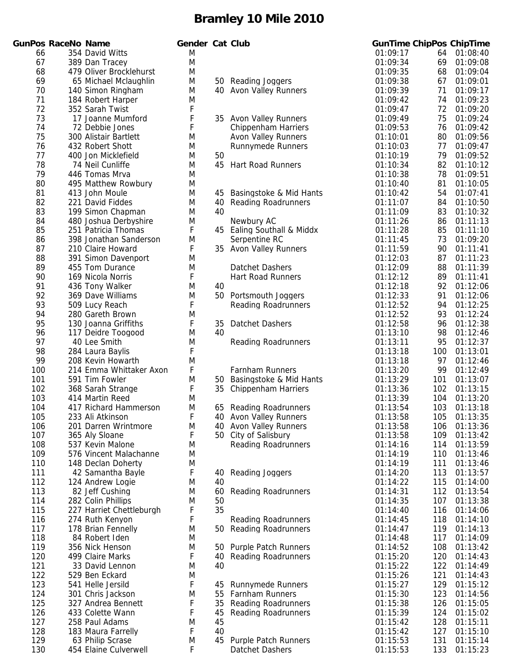|            | <b>GunPos RaceNo Name</b> |                                          | Gender Cat Club |    |                                                        |                      |            | <b>GunTime ChipPos ChipTime</b> |
|------------|---------------------------|------------------------------------------|-----------------|----|--------------------------------------------------------|----------------------|------------|---------------------------------|
| 66         |                           | 354 David Witts                          | M               |    |                                                        | 01:09:17             | 64         | 01:08:40                        |
| 67         |                           | 389 Dan Tracey                           | M               |    |                                                        | 01:09:34             | 69         | 01:09:08                        |
| 68         |                           | 479 Oliver Brocklehurst                  | M               |    |                                                        | 01:09:35             | 68         | 01:09:04                        |
| 69         |                           | 65 Michael Mclaughlin                    | M               |    | 50 Reading Joggers                                     | 01:09:38             | 67         | 01:09:01                        |
| 70         |                           | 140 Simon Ringham                        | M               |    | 40 Avon Valley Runners                                 | 01:09:39             | 71         | 01:09:17                        |
| 71         |                           | 184 Robert Harper                        | M               |    |                                                        | 01:09:42             | 74         | 01:09:23                        |
| 72         |                           | 352 Sarah Twist                          | F               |    |                                                        | 01:09:47             | 72         | 01:09:20                        |
| 73         |                           | 17 Joanne Mumford                        | F               |    | 35 Avon Valley Runners                                 | 01:09:49             | 75         | 01:09:24                        |
| 74<br>75   |                           | 72 Debbie Jones<br>300 Alistair Bartlett | F<br>M          |    | <b>Chippenham Harriers</b>                             | 01:09:53<br>01:10:01 | 76<br>80   | 01:09:42<br>01:09:56            |
| 76         |                           | 432 Robert Shott                         | M               |    | <b>Avon Valley Runners</b><br><b>Runnymede Runners</b> | 01:10:03             | 77         | 01:09:47                        |
| 77         |                           | 400 Jon Micklefield                      | M               | 50 |                                                        | 01:10:19             | 79         | 01:09:52                        |
| 78         |                           | 74 Neil Cunliffe                         | M               |    | 45 Hart Road Runners                                   | 01:10:34             | 82         | 01:10:12                        |
| 79         |                           | 446 Tomas Mrva                           | M               |    |                                                        | 01:10:38             | 78         | 01:09:51                        |
| 80         |                           | 495 Matthew Rowbury                      | M               |    |                                                        | 01:10:40             | 81         | 01:10:05                        |
| 81         |                           | 413 John Moule                           | M               | 45 | Basingstoke & Mid Hants                                | 01:10:42             | 54         | 01:07:41                        |
| 82         |                           | 221 David Fiddes                         | M               | 40 | <b>Reading Roadrunners</b>                             | 01:11:07             | 84         | 01:10:50                        |
| 83         |                           | 199 Simon Chapman                        | M               | 40 |                                                        | 01:11:09             | 83         | 01:10:32                        |
| 84         |                           | 480 Joshua Derbyshire                    | M               |    | Newbury AC                                             | 01:11:26             | 86         | 01:11:13                        |
| 85         |                           | 251 Patricia Thomas                      | F               |    | 45 Ealing Southall & Middx                             | 01:11:28             | 85         | 01:11:10                        |
| 86         |                           | 398 Jonathan Sanderson                   | M               |    | Serpentine RC                                          | 01:11:45             | 73         | 01:09:20                        |
| 87         |                           | 210 Claire Howard                        | F               |    | 35 Avon Valley Runners                                 | 01:11:59             | 90         | 01:11:41                        |
| 88         |                           | 391 Simon Davenport                      | M               |    |                                                        | 01:12:03             | 87         | 01:11:23                        |
| 89         |                           | 455 Tom Durance                          | M               |    | Datchet Dashers                                        | 01:12:09             | 88         | 01:11:39                        |
| 90         |                           | 169 Nicola Norris                        | F               |    | <b>Hart Road Runners</b>                               | 01:12:12             | 89         | 01:11:41                        |
| 91         |                           | 436 Tony Walker                          | M               | 40 |                                                        | 01:12:18             | 92         | 01:12:06                        |
| 92         |                           | 369 Dave Williams                        | M               |    | 50 Portsmouth Joggers                                  | 01:12:33             | 91         | 01:12:06                        |
| 93         |                           | 509 Lucy Reach                           | F               |    | <b>Reading Roadrunners</b>                             | 01:12:52             | 94         | 01:12:25                        |
| 94         |                           | 280 Gareth Brown                         | M               |    |                                                        | 01:12:52             | 93         | 01:12:24                        |
| 95         |                           | 130 Joanna Griffiths                     | F               | 35 | Datchet Dashers                                        | 01:12:58             | 96         | 01:12:38                        |
| 96         |                           | 117 Deidre Toogood                       | M               | 40 |                                                        | 01:13:10             | 98         | 01:12:46                        |
| 97<br>98   |                           | 40 Lee Smith<br>284 Laura Baylis         | M<br>F          |    | <b>Reading Roadrunners</b>                             | 01:13:11<br>01:13:18 | 95<br>100  | 01:12:37<br>01:13:01            |
| 99         |                           | 208 Kevin Howarth                        | M               |    |                                                        | 01:13:18             | 97         | 01:12:46                        |
| 100        |                           | 214 Emma Whittaker Axon                  | F               |    | Farnham Runners                                        | 01:13:20             | 99         | 01:12:49                        |
| 101        |                           | 591 Tim Fowler                           | M               |    | 50 Basingstoke & Mid Hants                             | 01:13:29             | 101        | 01:13:07                        |
| 102        |                           | 368 Sarah Strange                        | F               | 35 | <b>Chippenham Harriers</b>                             | 01:13:36             | 102        | 01:13:15                        |
| 103        |                           | 414 Martin Reed                          | M               |    |                                                        | 01:13:39             | 104        | 01:13:20                        |
| 104        |                           | 417 Richard Hammerson                    | M               |    | 65 Reading Roadrunners                                 | 01:13:54             | 103        | 01:13:18                        |
| 105        |                           | 233 Ali Atkinson                         | F               |    | 40 Avon Valley Runners                                 | 01:13:58             |            | 105 01:13:35                    |
| 106        |                           | 201 Darren Wrintmore                     | M               |    | 40 Avon Valley Runners                                 | 01:13:58             | 106        | 01:13:36                        |
| 107        |                           | 365 Aly Sloane                           | F               |    | 50 City of Salisbury                                   | 01:13:58             | 109        | 01:13:42                        |
| 108        |                           | 537 Kevin Malone                         | M               |    | <b>Reading Roadrunners</b>                             | 01:14:16             | 114        | 01:13:59                        |
| 109        |                           | 576 Vincent Malachanne                   | M               |    |                                                        | 01:14:19             | 110        | 01:13:46                        |
| 110        |                           | 148 Declan Doherty                       | M               |    |                                                        | 01:14:19             | 111        | 01:13:46                        |
| 111        |                           | 42 Samantha Bayle                        | F               | 40 | <b>Reading Joggers</b>                                 | 01:14:20             | 113        | 01:13:57                        |
| 112        |                           | 124 Andrew Logie                         | M               | 40 |                                                        | 01:14:22             | 115        | 01:14:00                        |
| 113        |                           | 82 Jeff Cushing                          | M               | 60 | <b>Reading Roadrunners</b>                             | 01:14:31             | 112        | 01:13:54                        |
| 114        |                           | 282 Colin Phillips                       | M               | 50 |                                                        | 01:14:35             | 107        | 01:13:38                        |
| 115        |                           | 227 Harriet Chettleburgh                 | F               | 35 |                                                        | 01:14:40             | 116        | 01:14:06                        |
| 116        |                           | 274 Ruth Kenyon                          | F               |    | <b>Reading Roadrunners</b>                             | 01:14:45             | 118        | 01:14:10                        |
| 117        |                           | 178 Brian Fennelly                       | M               |    | 50 Reading Roadrunners                                 | 01:14:47             | 119        | 01:14:13                        |
| 118<br>119 |                           | 84 Robert Iden<br>356 Nick Henson        | M<br>M          |    |                                                        | 01:14:48<br>01:14:52 | 117<br>108 | 01:14:09                        |
| 120        |                           | 499 Claire Marks                         | F               | 40 | 50 Purple Patch Runners<br><b>Reading Roadrunners</b>  | 01:15:20             | 120        | 01:13:42<br>01:14:43            |
| 121        |                           | 33 David Lennon                          | M               | 40 |                                                        | 01:15:22             | 122        | 01:14:49                        |
| 122        |                           | 529 Ben Eckard                           | M               |    |                                                        | 01:15:26             | 121        | 01:14:43                        |
| 123        |                           | 541 Helle Jersild                        | F               | 45 | <b>Runnymede Runners</b>                               | 01:15:27             | 129        | 01:15:12                        |
| 124        |                           | 301 Chris Jackson                        | M               | 55 | <b>Farnham Runners</b>                                 | 01:15:30             | 123        | 01:14:56                        |
| 125        |                           | 327 Andrea Bennett                       | F               | 35 | <b>Reading Roadrunners</b>                             | 01:15:38             | 126        | 01:15:05                        |
| 126        |                           | 433 Colette Wann                         | F               | 45 | <b>Reading Roadrunners</b>                             | 01:15:39             | 124        | 01:15:02                        |
| 127        |                           | 258 Paul Adams                           | M               | 45 |                                                        | 01:15:42             | 128        | 01:15:11                        |
| 128        |                           | 183 Maura Farrelly                       | F               | 40 |                                                        | 01:15:42             | 127        | 01:15:10                        |
| 129        |                           | 63 Philip Scrase                         | M               |    | 45 Purple Patch Runners                                | 01:15:53             | 131        | 01:15:14                        |
| 130        |                           | 454 Elaine Culverwell                    | F               |    | Datchet Dashers                                        | 01:15:53             | 133        | 01:15:23                        |

| I                     |                      | der cat club                                                                                                                       |
|-----------------------|----------------------|------------------------------------------------------------------------------------------------------------------------------------|
| ۱<br>۱<br>۱<br>۱<br>۱ | 40 -                 | 50 Reading Joggers<br><b>Avon Valley Runners</b>                                                                                   |
| ۱                     | 35                   | <b>Avon Valley Runners</b><br><b>Chippenham Harriers</b><br><b>Avon Valley Runners</b><br><b>Runnymede Runners</b>                 |
| I<br>l<br>I           | 50<br>45             | <b>Hart Road Runners</b>                                                                                                           |
| I<br>I<br>I<br>I      | 45<br>40<br>40       | Basingstoke & Mid Hants<br><b>Reading Roadrunners</b>                                                                              |
| I<br>I                | 45<br>35             | Newbury AC<br>Ealing Southall & Middx<br>Serpentine RC<br><b>Avon Valley Runners</b>                                               |
| ۱<br>I                |                      | Datchet Dashers<br><b>Hart Road Runners</b>                                                                                        |
| ۱<br>I<br>۱           | 40<br>50             | Portsmouth Joggers<br><b>Reading Roadrunners</b>                                                                                   |
| ۱<br>۱                | 35<br>40             | Datchet Dashers<br><b>Reading Roadrunners</b>                                                                                      |
| ۱                     |                      |                                                                                                                                    |
| I<br>I                | 50<br>35             | <b>Farnham Runners</b><br>Basingstoke & Mid Hants<br><b>Chippenham Harriers</b>                                                    |
| ۱<br>I<br>I<br>I      | 65<br>40<br>40<br>50 | <b>Reading Roadrunners</b><br>Avon Valley Runners<br><b>Avon Valley Runners</b><br>City of Salisbury<br><b>Reading Roadrunners</b> |
| I<br>۱                | 40<br>40             | Reading Joggers                                                                                                                    |
| I<br>I                | 60<br>50<br>35       | <b>Reading Roadrunners</b>                                                                                                         |
| I                     | 50                   | <b>Reading Roadrunners</b><br><b>Reading Roadrunners</b>                                                                           |
| I<br>I<br>I           | 50<br>40<br>40       | <b>Purple Patch Runners</b><br><b>Reading Roadrunners</b>                                                                          |
| ۱                     | 45<br>55<br>35<br>45 | <b>Runnymede Runners</b><br><b>Farnham Runners</b><br><b>Reading Roadrunners</b><br><b>Reading Roadrunners</b>                     |
| I<br>I                | 45<br>40<br>45       | Purple Patch Runners<br>Dotchot Doch                                                                                               |

|                      |            | <b>GunTime ChipPos ChipTime</b> |
|----------------------|------------|---------------------------------|
| 01:09:17             | 64         | 01:08:40                        |
| 01:09:34             | 69         | 01:09:08                        |
| 01:09:35             | 68         | 01:09:04                        |
| 01:09:38             | 67         | 01:09:01                        |
| 01:09:39             | 71         | 01:09:17                        |
| 01:09:42             | 74         | 01:09:23                        |
| 01:09:47             | 72         | 01:09:20                        |
| 01:09:49             | 75         | 01:09:24                        |
| 01:09:53             | 76         | 01:09:42                        |
| 01:10:01             | 80         | 01:09:56                        |
| 01:10:03             | 77         | 01:09:47                        |
| 01:10:19             | 79         | 01:09:52                        |
| 01:10:34             | 82         | 01:10:12                        |
| 01:10:38<br>01:10:40 | 78         | 01:09:51<br>01:10:05            |
| 01:10:42             | 81<br>54   |                                 |
| 01:11:07             | 84         | 01:07:41<br>01:10:50            |
| 01:11:09             | 83         | 01:10:32                        |
| 01:11:26             | 86         | 01:11:13                        |
| 01:11:28             | 85         | 01:11:10                        |
| 01:11:45             | 73         | 01:09:20                        |
| 01:11:59             | 90         | 01:11:41                        |
| 01:12:03             | 87         | 01:11:23                        |
| 01:12:09             | 88         | 01:11:39                        |
| 01:12:12             | 89         | 01:11:41                        |
| 01:12:18             | 92         | 01:12:06                        |
| 01:12:33             | 91         | 01:12:06                        |
| 01:12:52             | 94         | 01:12:25                        |
| 01:12:52             | 93         | 01:12:24                        |
| 01:12:58             | 96         | 01:12:38                        |
| 01:13:10             | 98         | 01:12:46                        |
| 01:13:11             | 95         | 01:12:37                        |
| 01:13:18             | 100        | 01:13:01                        |
| 01:13:18             | 97         | 01:12:46                        |
| 01:13:20             | 99         | 01:12:49                        |
| 01:13:29             | 101        | 01:13:07                        |
| 01:13:36             | 102        | 01:13:15                        |
| 01:13:39             | 104        | 01:13:20                        |
| 01:13:54             | 103        | 01:13:18                        |
| 01:13:58<br>01:13:58 | 105        | 01:13:35                        |
| 01:13:58             | 106<br>109 | 01:13:36<br>01:13:42            |
| 01:14:16             | 114        | 01:13:59                        |
| 01:14:19             | 110        | 01:13:46                        |
| 01:14:19             | 111        | 01:13:46                        |
| 01:14:20             | 113        | 01:13:57                        |
| 01:14:22             | 115        | 01:14:00                        |
| 01:14:31             | 112        | 01:13:54                        |
| 01:14:35             | 107        | 01:13:38                        |
| 01:14:40             | 116        | 01:14:06                        |
| 01:14:45             | 118        | 01:14:10                        |
| 01:14:47             | 119        | 01:14:13                        |
| 01:14:48             | 117        | 01:14:09                        |
| 01:14:52             | 108        | 01:13:42                        |
| 01:15:20             | 120        | 01:14:43                        |
| 01:15:22             | 122        | 01:14:49                        |
| 01:15:26             | 121        | 01:14:43                        |
| 01:15:27             | 129        | 01:15:12                        |
| 01:15:30             | 123        | 01:14:56                        |
| 01:15:38             | 126        | 01:15:05                        |
| 01:15:39<br>01:15:42 | 124<br>128 | 01:15:02<br>01:15:11            |
| 01:15:42             | 127        | 01:15:10                        |
| 01:15:53             | 131        | 01:15:14                        |
| 01:15:53             | 133        | 01:15:23                        |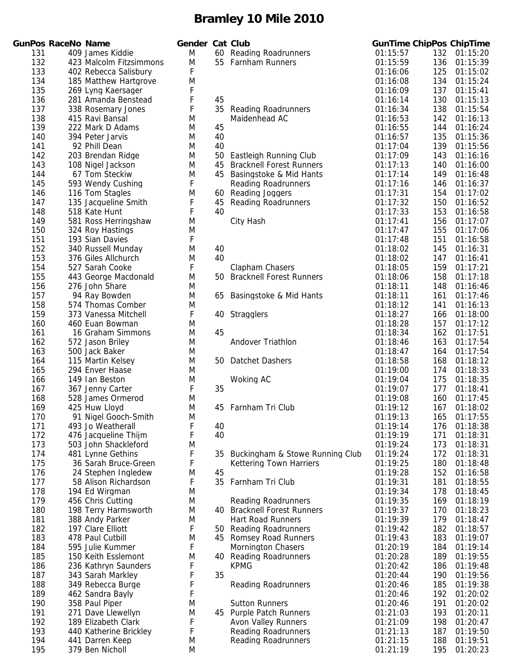|            | <b>GunPos RaceNo Name</b> |                                    | Gender Cat Club |          |                                                           |                      |            | <b>GunTime ChipPos ChipTime</b> |
|------------|---------------------------|------------------------------------|-----------------|----------|-----------------------------------------------------------|----------------------|------------|---------------------------------|
| 131        |                           | 409 James Kiddie                   | M               |          | 60 Reading Roadrunners                                    | 01:15:57             | 132        | 01:15:20                        |
| 132        |                           | 423 Malcolm Fitzsimmons            | M               |          | 55 Farnham Runners                                        | 01:15:59             | 136        | 01:15:39                        |
| 133        |                           | 402 Rebecca Salisbury              | F               |          |                                                           | 01:16:06             | 125        | 01:15:02                        |
| 134        |                           | 185 Matthew Hartgrove              | M               |          |                                                           | 01:16:08             | 134        | 01:15:24                        |
| 135        |                           | 269 Lyng Kaersager                 | F               |          |                                                           | 01:16:09             | 137        | 01:15:41                        |
| 136        |                           | 281 Amanda Benstead                | F               | 45       |                                                           | 01:16:14             | 130        | 01:15:13                        |
| 137        |                           | 338 Rosemary Jones                 | F               |          | 35 Reading Roadrunners                                    | 01:16:34             | 138        | 01:15:54                        |
| 138        |                           | 415 Ravi Bansal                    | M               |          | Maidenhead AC                                             | 01:16:53             | 142        | 01:16:13                        |
| 139        |                           | 222 Mark D Adams                   | M               | 45       |                                                           | 01:16:55             | 144        | 01:16:24                        |
| 140<br>141 |                           | 394 Peter Jarvis                   | M               | 40       |                                                           | 01:16:57             | 135        | 01:15:36                        |
| 142        |                           | 92 Phill Dean<br>203 Brendan Ridge | M               | 40       |                                                           | 01:17:04             | 139        | 01:15:56                        |
| 143        |                           | 108 Nigel Jackson                  | M<br>M          | 50<br>45 | Eastleigh Running Club<br><b>Bracknell Forest Runners</b> | 01:17:09<br>01:17:13 | 143<br>140 | 01:16:16<br>01:16:00            |
| 144        |                           | 67 Tom Steckiw                     | M               |          | 45 Basingstoke & Mid Hants                                | 01:17:14             | 149        | 01:16:48                        |
| 145        |                           | 593 Wendy Cushing                  | F               |          | <b>Reading Roadrunners</b>                                | 01:17:16             | 146        | 01:16:37                        |
| 146        |                           | 116 Tom Stagles                    | M               | 60       | Reading Joggers                                           | 01:17:31             | 154        | 01:17:02                        |
| 147        |                           | 135 Jacqueline Smith               | F               | 45       | <b>Reading Roadrunners</b>                                | 01:17:32             | 150        | 01:16:52                        |
| 148        |                           | 518 Kate Hunt                      | F               | 40       |                                                           | 01:17:33             | 153        | 01:16:58                        |
| 149        |                           | 581 Ross Herringshaw               | M               |          | City Hash                                                 | 01:17:41             | 156        | 01:17:07                        |
| 150        |                           | 324 Roy Hastings                   | M               |          |                                                           | 01:17:47             | 155        | 01:17:06                        |
| 151        |                           | 193 Sian Davies                    | F               |          |                                                           | 01:17:48             | 151        | 01:16:58                        |
| 152        |                           | 340 Russell Munday                 | M               | 40       |                                                           | 01:18:02             | 145        | 01:16:31                        |
| 153        |                           | 376 Giles Allchurch                | M               | 40       |                                                           | 01:18:02             | 147        | 01:16:41                        |
| 154        |                           | 527 Sarah Cooke                    | F               |          | Clapham Chasers                                           | 01:18:05             | 159        | 01:17:21                        |
| 155        |                           | 443 George Macdonald               | M               |          | 50 Bracknell Forest Runners                               | 01:18:06             | 158        | 01:17:18                        |
| 156        |                           | 276 John Share                     | M               |          |                                                           | 01:18:11             | 148        | 01:16:46                        |
| 157        |                           | 94 Ray Bowden                      | M               | 65       | Basingstoke & Mid Hants                                   | 01:18:11             | 161        | 01:17:46                        |
| 158        |                           | 574 Thomas Comber                  | M               |          |                                                           | 01:18:12             | 141        | 01:16:13                        |
| 159        |                           | 373 Vanessa Mitchell               | F               |          | 40 Stragglers                                             | 01:18:27             | 166        | 01:18:00                        |
| 160        |                           | 460 Euan Bowman                    | M               |          |                                                           | 01:18:28             | 157        | 01:17:12                        |
| 161        |                           | 16 Graham Simmons                  | M               | 45       |                                                           | 01:18:34             | 162        | 01:17:51                        |
| 162        |                           | 572 Jason Briley                   | M               |          | Andover Triathlon                                         | 01:18:46             | 163        | 01:17:54                        |
| 163        |                           | 500 Jack Baker                     | M               |          |                                                           | 01:18:47             | 164        | 01:17:54                        |
| 164        |                           | 115 Martin Kelsey                  | M               |          | 50 Datchet Dashers                                        | 01:18:58             | 168        | 01:18:12                        |
| 165        |                           | 294 Enver Haase                    | M               |          |                                                           | 01:19:00             | 174        | 01:18:33                        |
| 166        |                           | 149 Ian Beston                     | M               |          | Woking AC                                                 | 01:19:04             | 175        | 01:18:35                        |
| 167        |                           | 367 Jenny Carter                   | F               | 35       |                                                           | 01:19:07             | 177        | 01:18:41                        |
| 168<br>169 |                           | 528 James Ormerod<br>425 Huw Lloyd | M               |          |                                                           | 01:19:08<br>01:19:12 | 160        | 01:17:45<br>01:18:02            |
| 170        |                           | 91 Nigel Gooch-Smith               | M<br>M          |          | 45 Farnham Tri Club                                       | 01:19:13             | 167        | 165 01:17:55                    |
| 171        |                           | 493 Jo Weatherall                  | F               | 40       |                                                           | 01:19:14             | 176        | 01:18:38                        |
| 172        |                           | 476 Jacqueline Thijm               | F               | 40       |                                                           | 01:19:19             | 171        | 01:18:31                        |
| 173        |                           | 503 John Shackleford               | M               |          |                                                           | 01:19:24             | 173        | 01:18:31                        |
| 174        |                           | 481 Lynne Gethins                  | F               | 35       | Buckingham & Stowe Running Club                           | 01:19:24             | 172        | 01:18:31                        |
| 175        |                           | 36 Sarah Bruce-Green               | F               |          | <b>Kettering Town Harriers</b>                            | 01:19:25             | 180        | 01:18:48                        |
| 176        |                           | 24 Stephen Ingledew                | M               | 45       |                                                           | 01:19:28             | 152        | 01:16:58                        |
| 177        |                           | 58 Alison Richardson               | F               | 35       | Farnham Tri Club                                          | 01:19:31             | 181        | 01:18:55                        |
| 178        |                           | 194 Ed Wirgman                     | M               |          |                                                           | 01:19:34             | 178        | 01:18:45                        |
| 179        |                           | 456 Chris Cutting                  | M               |          | <b>Reading Roadrunners</b>                                | 01:19:35             | 169        | 01:18:19                        |
| 180        |                           | 198 Terry Harmsworth               | M               |          | 40 Bracknell Forest Runners                               | 01:19:37             | 170        | 01:18:23                        |
| 181        |                           | 388 Andy Parker                    | M               |          | Hart Road Runners                                         | 01:19:39             | 179        | 01:18:47                        |
| 182        |                           | 197 Clare Elliott                  | F               | 50       | <b>Reading Roadrunners</b>                                | 01:19:42             | 182        | 01:18:57                        |
| 183        |                           | 478 Paul Cutbill                   | M               | 45       | <b>Romsey Road Runners</b>                                | 01:19:43             | 183        | 01:19:07                        |
| 184        |                           | 595 Julie Kummer                   | F               |          | <b>Mornington Chasers</b>                                 | 01:20:19             | 184        | 01:19:14                        |
| 185        |                           | 150 Keith Esslemont                | M               | 40       | <b>Reading Roadrunners</b>                                | 01:20:28             | 189        | 01:19:55                        |
| 186        |                           | 236 Kathryn Saunders               | F               |          | <b>KPMG</b>                                               | 01:20:42             | 186        | 01:19:48                        |
| 187        |                           | 343 Sarah Markley                  |                 | 35       |                                                           | 01:20:44             | 190        | 01:19:56                        |
| 188        |                           | 349 Rebecca Burge                  | F               |          | <b>Reading Roadrunners</b>                                | 01:20:46             | 185        | 01:19:38                        |
| 189        |                           | 462 Sandra Bayly                   |                 |          |                                                           | 01:20:46             | 192        | 01:20:02                        |
| 190        |                           | 358 Paul Piper                     | M               |          | <b>Sutton Runners</b>                                     | 01:20:46             | 191        | 01:20:02                        |
| 191        |                           | 271 Dave Llewellyn                 | M               |          | 45 Purple Patch Runners                                   | 01:21:03             | 193        | 01:20:11                        |
| 192        |                           | 189 Elizabeth Clark                | F               |          | Avon Valley Runners                                       | 01:21:09             | 198        | 01:20:47                        |
| 193        |                           | 440 Katherine Brickley             | F               |          | <b>Reading Roadrunners</b>                                | 01:21:13             | 187        | 01:19:50                        |
| 194        |                           | 441 Darren Keep                    | M               |          | <b>Reading Roadrunners</b>                                | 01:21:15             | 188        | 01:19:51                        |
| 195        |                           | 379 Ben Nicholl                    | M               |          |                                                           | 01:21:19             | 195        | 01:20:23                        |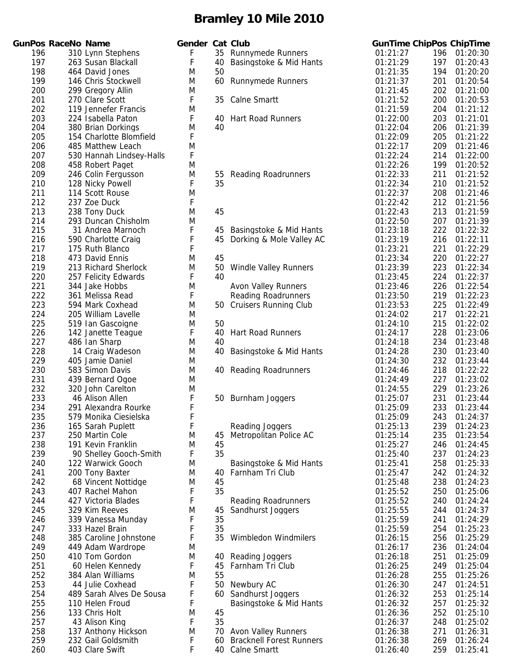|            | GunPos RaceNo Name |                                       | Gender Cat Club |    |                                                    |          |            | <b>GunTime ChipPos ChipTime</b> |
|------------|--------------------|---------------------------------------|-----------------|----|----------------------------------------------------|----------|------------|---------------------------------|
| 196        |                    | 310 Lynn Stephens                     | F               | 35 | <b>Runnymede Runners</b>                           | 01:21:27 | 196        | 01:20:30                        |
| 197        |                    | 263 Susan Blackall                    | F               | 40 | Basingstoke & Mid Hants                            | 01:21:29 | 197        | 01:20:43                        |
| 198        |                    | 464 David Jones                       | M               | 50 |                                                    | 01:21:35 | 194        | 01:20:20                        |
| 199        |                    | 146 Chris Stockwell                   | M               | 60 | <b>Runnymede Runners</b>                           | 01:21:37 | 201        | 01:20:54                        |
| 200        |                    | 299 Gregory Allin                     | M               |    |                                                    | 01:21:45 | 202        | 01:21:00                        |
| 201        |                    | 270 Clare Scott                       | F               | 35 | <b>Calne Smartt</b>                                | 01:21:52 | 200        | 01:20:53                        |
| 202        |                    | 119 Jennefer Francis                  | M               |    |                                                    | 01:21:59 | 204        | 01:21:12                        |
| 203        |                    | 224 Isabella Paton                    | F               | 40 | <b>Hart Road Runners</b>                           | 01:22:00 | 203        | 01:21:01                        |
| 204        |                    | 380 Brian Dorkings                    | M               | 40 |                                                    | 01:22:04 | 206        | 01:21:39                        |
| 205        |                    | 154 Charlotte Blomfield               | F               |    |                                                    | 01:22:09 | 205        | 01:21:22                        |
| 206        |                    | 485 Matthew Leach                     | M               |    |                                                    | 01:22:17 | 209        | 01:21:46                        |
| 207        |                    | 530 Hannah Lindsey-Halls              | F               |    |                                                    | 01:22:24 | 214        | 01:22:00                        |
| 208        |                    | 458 Robert Paget                      | M               |    |                                                    | 01:22:26 | 199        | 01:20:52                        |
| 209        |                    | 246 Colin Fergusson                   | M               | 55 | <b>Reading Roadrunners</b>                         | 01:22:33 | 211        | 01:21:52                        |
| 210        |                    | 128 Nicky Powell                      | F               | 35 |                                                    | 01:22:34 | 210        | 01:21:52                        |
| 211        |                    | 114 Scott Rouse                       | M               |    |                                                    | 01:22:37 | 208        | 01:21:46                        |
| 212        |                    | 237 Zoe Duck                          | F               |    |                                                    | 01:22:42 | 212        | 01:21:56                        |
| 213        |                    | 238 Tony Duck                         | M               | 45 |                                                    | 01:22:43 | 213        | 01:21:59                        |
| 214        |                    | 293 Duncan Chisholm                   | M               |    |                                                    | 01:22:50 | 207        | 01:21:39                        |
| 215        |                    | 31 Andrea Marnoch                     | F               | 45 | Basingstoke & Mid Hants                            | 01:23:18 | 222        | 01:22:32                        |
| 216        |                    | 590 Charlotte Craig                   | F               | 45 | Dorking & Mole Valley AC                           | 01:23:19 | 216        | 01:22:11                        |
| 217        |                    | 175 Ruth Blanco                       | F               |    |                                                    | 01:23:21 | 221        | 01:22:29                        |
| 218        |                    | 473 David Ennis                       | M               | 45 |                                                    | 01:23:34 | 220        | 01:22:27                        |
| 219        |                    | 213 Richard Sherlock                  | M               | 50 | <b>Windle Valley Runners</b>                       | 01:23:39 | 223        | 01:22:34                        |
| 220        |                    | 257 Felicity Edwards                  | F               | 40 |                                                    | 01:23:45 | 224        | 01:22:37                        |
| 221        |                    | 344 Jake Hobbs                        | M               |    | <b>Avon Valley Runners</b>                         | 01:23:46 | 226        | 01:22:54                        |
| 222        |                    | 361 Melissa Read                      | F               |    | <b>Reading Roadrunners</b>                         | 01:23:50 | 219        | 01:22:23                        |
| 223        |                    | 594 Mark Coxhead                      | M               |    | 50 Cruisers Running Club                           | 01:23:53 | 225        | 01:22:49                        |
| 224        |                    | 205 William Lavelle                   | M               |    |                                                    | 01:24:02 | 217        | 01:22:21                        |
| 225        |                    | 519 Ian Gascoigne                     | M               | 50 |                                                    | 01:24:10 | 215        | 01:22:02                        |
| 226        |                    | 142 Janette Teague                    | F               | 40 | <b>Hart Road Runners</b>                           | 01:24:17 | 228        | 01:23:06                        |
| 227        |                    | 486 Ian Sharp                         | M               | 40 |                                                    | 01:24:18 | 234        | 01:23:48                        |
| 228        |                    | 14 Craig Wadeson                      | M               | 40 | Basingstoke & Mid Hants                            | 01:24:28 | 230        | 01:23:40                        |
| 229        |                    | 405 Jamie Daniel                      | M               |    |                                                    | 01:24:30 | 232        | 01:23:44                        |
| 230        |                    | 583 Simon Davis                       | M               |    | 40 Reading Roadrunners                             | 01:24:46 | 218        | 01:22:22                        |
| 231        |                    | 439 Bernard Ogoe                      | M               |    |                                                    | 01:24:49 | 227        | 01:23:02                        |
| 232        |                    | 320 John Carelton                     | M               |    |                                                    | 01:24:55 | 229        | 01:23:26                        |
| 233        |                    | 46 Alison Allen                       | F               |    | 50 Burnham Joggers                                 | 01:25:07 | 231        | 01:23:44                        |
| 234        |                    | 291 Alexandra Rourke                  | F               |    |                                                    | 01:25:09 | 233        | 01:23:44                        |
| 235        |                    | 579 Monika Ciesielska                 | F               |    |                                                    | 01:25:09 |            | 243 01:24:37                    |
| 236        |                    | 165 Sarah Puplett                     | F               |    | Reading Joggers                                    | 01:25:13 | 239        | 01:24:23                        |
| 237        |                    | 250 Martin Cole                       | M               | 45 | Metropolitan Police AC                             | 01:25:14 | 235        | 01:23:54                        |
| 238        |                    | 191 Kevin Franklin                    | M               | 45 |                                                    | 01:25:27 | 246        | 01:24:45                        |
| 239        |                    | 90 Shelley Gooch-Smith                | F               | 35 |                                                    | 01:25:40 | 237        | 01:24:23                        |
| 240        |                    | 122 Warwick Gooch                     | M               |    | Basingstoke & Mid Hants                            | 01:25:41 | 258        | 01:25:33                        |
| 241        |                    | 200 Tony Baxter                       | M               | 40 | Farnham Tri Club                                   | 01:25:47 | 242        | 01:24:32                        |
| 242        |                    | 68 Vincent Nottidge                   | M               | 45 |                                                    | 01:25:48 | 238        | 01:24:23                        |
| 243        |                    | 407 Rachel Mahon                      | F               | 35 |                                                    | 01:25:52 | 250        | 01:25:06                        |
| 244        |                    | 427 Victoria Blades                   | F               |    | <b>Reading Roadrunners</b>                         | 01:25:52 | 240        | 01:24:24                        |
| 245        |                    | 329 Kim Reeves                        | M               | 45 | Sandhurst Joggers                                  | 01:25:55 | 244        | 01:24:37                        |
| 246        |                    | 339 Vanessa Munday                    | F               | 35 |                                                    | 01:25:59 | 241        | 01:24:29                        |
| 247        |                    | 333 Hazel Brain                       | F               | 35 |                                                    | 01:25:59 | 254        | 01:25:23                        |
| 248        |                    | 385 Caroline Johnstone                | F               | 35 | Wimbledon Windmilers                               | 01:26:15 | 256        | 01:25:29                        |
| 249        |                    | 449 Adam Wardrope                     | M               |    |                                                    | 01:26:17 | 236        | 01:24:04                        |
| 250        |                    | 410 Tom Gordon                        | M               | 40 | Reading Joggers                                    | 01:26:18 | 251        | 01:25:09                        |
| 251        |                    | 60 Helen Kennedy                      | F               | 45 | Farnham Tri Club                                   | 01:26:25 | 249        | 01:25:04                        |
| 252        |                    | 384 Alan Williams                     | M               | 55 |                                                    | 01:26:28 | 255        | 01:25:26                        |
| 253        |                    | 44 Julie Coxhead                      | F               | 50 | Newbury AC                                         | 01:26:30 | 247        | 01:24:51                        |
| 254        |                    | 489 Sarah Alves De Sousa              | F               |    | 60 Sandhurst Joggers                               | 01:26:32 | 253        | 01:25:14                        |
| 255        |                    | 110 Helen Froud                       | F               |    | Basingstoke & Mid Hants                            | 01:26:32 | 257        | 01:25:32                        |
| 256        |                    | 133 Chris Holt                        | M               | 45 |                                                    | 01:26:36 | 252        | 01:25:10                        |
| 257        |                    | 43 Alison King                        | F               | 35 |                                                    | 01:26:37 | 248        | 01:25:02                        |
| 258        |                    | 137 Anthony Hickson                   | M               | 70 | <b>Avon Valley Runners</b>                         | 01:26:38 | 271        | 01:26:31                        |
| 259<br>260 |                    | 232 Gail Goldsmith<br>403 Clare Swift | F<br>F          | 60 | <b>Bracknell Forest Runners</b><br>40 Calne Smartt | 01:26:38 | 269<br>259 | 01:26:24<br>01:25:41            |
|            |                    |                                       |                 |    |                                                    | 01:26:40 |            |                                 |

| ler | 35<br>40                   | <b>Cat Club</b><br><b>Runnymede Runners</b><br>Basingstoke & Mid Hants               |
|-----|----------------------------|--------------------------------------------------------------------------------------|
|     | 50<br>60                   | <b>Runnymede Runners</b>                                                             |
|     | 35                         | <b>Calne Smartt</b>                                                                  |
|     | 40<br>40                   | <b>Hart Road Runners</b>                                                             |
|     | 55<br>35                   | <b>Reading Roadrunners</b>                                                           |
|     | 45                         |                                                                                      |
|     | 45<br>45                   | Basingstoke & Mid Hants<br>Dorking & Mole Valley AC                                  |
|     | 45<br>50<br>40             | <b>Windle Valley Runners</b>                                                         |
|     | 50                         | Avon Valley Runners<br><b>Reading Roadrunners</b><br><b>Cruisers Running Club</b>    |
|     | 50<br>40<br>40             | <b>Hart Road Runners</b>                                                             |
|     | 40                         | Basingstoke & Mid Hants                                                              |
|     | 40                         | <b>Reading Roadrunners</b>                                                           |
|     | 50                         | Burnham Joggers                                                                      |
|     | 45<br>45                   | Reading Joggers<br>Metropolitan Police AC                                            |
|     | 35<br>40<br>45<br>35       | Basingstoke & Mid Hants<br>Farnham Tri Club                                          |
|     | 45<br>35                   | <b>Reading Roadrunners</b><br>Sandhurst Joggers                                      |
|     | 35<br>35                   | <b>Wimbledon Windmilers</b>                                                          |
|     | 40<br>45<br>55             | Reading Joggers<br>Farnham Tri Club                                                  |
|     | 50<br>60                   | Newbury AC<br>Sandhurst Joggers<br>Basingstoke & Mid Hants                           |
|     | 45<br>35<br>70<br>60<br>40 | <b>Avon Valley Runners</b><br><b>Bracknell Forest Runners</b><br><b>Calne Smartt</b> |

| <b>GunTime ChipPos</b> |            | ChipTime             |
|------------------------|------------|----------------------|
| 01:21:27               | 196        | 01:20:30             |
| 01:21:29               | 197        | 01:20:43             |
| 01:21:35               | 194        | 01:20:20             |
| 01:21:37               | 201        | 01:20:54             |
| 01:21:45               | 202        | 01:21:00             |
| 01:21:52               | 200        | 01:20:53             |
| 01:21:59               | 204        | 01:21:12             |
| 01:22:00               | 203        | 01:21:01             |
| 01:22:04               | 206        | 01:21:39             |
| 01:22:09               | 205        | 01:21:22             |
| 01:22:17               | 209        | 01:21:46             |
| 01:22:24               | 214        | 01:22:00             |
| 01:22:26               | 199        | 01:20:52             |
| 01:22:33               | 211        | 01:21:52             |
| 01:22:34               | 210        | 01:21:52             |
| 01:22:37<br>01:22:42   | 208<br>212 | 01:21:46<br>01:21:56 |
| 01:22:43               | 213        | 01:21:59             |
| 01:22:50               | 207        | 01:21:39             |
| 01:23:18               | 222        | 01:22:32             |
| 01:23:19               | 216        | 01:22:11             |
| 01:23:21               | 221        | 01:22:29             |
| 01:23:34               | 220        | 01:22:27             |
| 01:23:39               | 223        | 01:22:34             |
| 01:23:45               | 224        | 01:22:37             |
| 01:23:46               | 226        | 01:22:54             |
| 01:23:50               | 219        | 01:22:23             |
| 01:23:53               | 225        | 01:22:49             |
| 01:24:02               | 217        | 01:22:21             |
| 01:24:10               | 215        | 01:22:02             |
| 01:24:17               | 228        | 01:23:06             |
| 01:24:18               | 234        | 01:23:48             |
| 01:24:28               | 230        | 01:23:40             |
| 01:24:30               | 232        | 01:23:44             |
| 01:24:46               | 218        | 01:22:22             |
| 01:24:49               | 227        | 01:23:02             |
| 01:24:55               | 229        | 01:23:26             |
| 01:25:07               | 231        | 01:23:44             |
| 01:25:09               | 233        | 01:23:44             |
| 01:25:09               | 243        | 01:24:37             |
| 01:25:13               | 239        | 01:24:23             |
| 01:25:14               | 235        | 01:23:54             |
| 01:25:27               | 246        | 01:24:45             |
| 01:25:40               | 237        | 01:24:23             |
| 01:25:41               | 258        | 01:25:33             |
| 01:25:47               | 242        | 01:24:32             |
| 01:25:48               | 238        | 01:24:23             |
| 01:25:52               | 250        | 01:25:06             |
| 01:25:52               | 240        | 01:24:24             |
| 01:25:55               | 244        | 01:24:37             |
| 01:25:59               | 241        | 01:24:29             |
| 01:25:59               | 254        | 01:25:23             |
| 01:26:15               | 256        | 01:25:29             |
| 01:26:17               | 236        | 01:24:04             |
| 01:26:18               | 251        | 01:25:09             |
| 01:26:25               | 249        | 01:25:04             |
| 01:26:28               | 255        | 01:25:26             |
| 01:26:30               | 247        | 01:24:51             |
| 01:26:32               | 253        | 01:25:14             |
| 01:26:32               | 257        | 01:25:32             |
| 01:26:36               | 252        | 01:25:10             |
| 01:26:37               | 248        | 01:25:02             |
| 01:26:38               | 271        | 01:26:31             |
| 01:26:38               | 269        | 01:26:24             |
| 01:26:40               | 259        | 01:25:41             |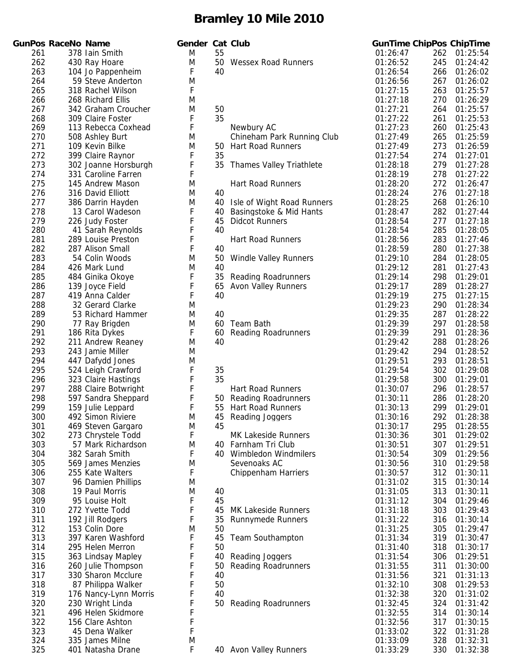|            | <b>GunPos RaceNo Name</b> |                                       | Gender Cat Club |    |                                                | <b>GunTime ChipPos ChipTime</b> |            |                      |
|------------|---------------------------|---------------------------------------|-----------------|----|------------------------------------------------|---------------------------------|------------|----------------------|
| 261        |                           | 378 Iain Smith                        | M               | 55 |                                                | 01:26:47                        | 262        | 01:25:54             |
| 262        |                           | 430 Ray Hoare                         | M               | 50 | <b>Wessex Road Runners</b>                     | 01:26:52                        | 245        | 01:24:42             |
| 263        |                           | 104 Jo Pappenheim                     | F               | 40 |                                                | 01:26:54                        | 266        | 01:26:02             |
| 264        |                           | 59 Steve Anderton                     | M               |    |                                                | 01:26:56                        | 267        | 01:26:02             |
| 265        |                           | 318 Rachel Wilson                     | F               |    |                                                | 01:27:15                        | 263        | 01:25:57             |
| 266        |                           | 268 Richard Ellis                     | M               |    |                                                | 01:27:18                        | 270        | 01:26:29             |
| 267        |                           | 342 Graham Croucher                   | M               | 50 |                                                | 01:27:21                        | 264        | 01:25:57             |
| 268        |                           | 309 Claire Foster                     | F               | 35 |                                                | 01:27:22                        | 261        | 01:25:53             |
| 269        |                           | 113 Rebecca Coxhead                   | F               |    | Newbury AC                                     | 01:27:23                        | 260        | 01:25:43             |
| 270        |                           | 508 Ashley Burt                       | M               |    | Chineham Park Running Club                     | 01:27:49                        | 265        | 01:25:59             |
| 271        |                           | 109 Kevin Bilke                       | M               | 50 | <b>Hart Road Runners</b>                       | 01:27:49                        | 273        | 01:26:59             |
| 272        |                           | 399 Claire Raynor                     | F               | 35 |                                                | 01:27:54                        | 274        | 01:27:01             |
| 273        |                           | 302 Joanne Horsburgh                  | F               | 35 | <b>Thames Valley Triathlete</b>                | 01:28:18                        | 279        | 01:27:28             |
| 274        |                           | 331 Caroline Farren                   | F               |    |                                                | 01:28:19                        | 278        | 01:27:22             |
| 275        |                           | 145 Andrew Mason                      | M               |    | <b>Hart Road Runners</b>                       | 01:28:20                        | 272        | 01:26:47             |
| 276        |                           | 316 David Elliott                     | M               | 40 |                                                | 01:28:24                        | 276        | 01:27:18             |
| 277        |                           | 386 Darrin Hayden                     | M               | 40 | Isle of Wight Road Runners                     | 01:28:25                        | 268        | 01:26:10             |
| 278        |                           | 13 Carol Wadeson                      | F               | 40 | Basingstoke & Mid Hants                        | 01:28:47                        | 282        | 01:27:44             |
| 279        |                           | 226 Judy Foster                       | F               | 45 | <b>Didcot Runners</b>                          | 01:28:54                        | 277        | 01:27:18             |
| 280        |                           | 41 Sarah Reynolds                     | F               | 40 |                                                | 01:28:54                        | 285        | 01:28:05             |
| 281        |                           | 289 Louise Preston                    | F               |    | Hart Road Runners                              | 01:28:56                        | 283        | 01:27:46             |
| 282        |                           | 287 Alison Small                      | F               | 40 |                                                | 01:28:59                        | 280        | 01:27:38             |
| 283        |                           | 54 Colin Woods                        | M               | 50 | <b>Windle Valley Runners</b>                   | 01:29:10                        | 284        | 01:28:05             |
| 284        |                           | 426 Mark Lund                         | M               | 40 |                                                | 01:29:12                        | 281        | 01:27:43             |
| 285        |                           | 484 Ginika Okoye                      | F               | 35 | <b>Reading Roadrunners</b>                     | 01:29:14                        | 298        | 01:29:01             |
| 286        |                           | 139 Joyce Field                       | F               | 65 | <b>Avon Valley Runners</b>                     | 01:29:17                        | 289        | 01:28:27             |
| 287        |                           | 419 Anna Calder                       | F               | 40 |                                                | 01:29:19                        | 275        | 01:27:15             |
| 288        |                           | 32 Gerard Clarke                      | M               |    |                                                | 01:29:23                        | 290        | 01:28:34             |
| 289        |                           | 53 Richard Hammer                     | M               | 40 |                                                | 01:29:35                        | 287        | 01:28:22             |
| 290        |                           | 77 Ray Brigden                        | M               | 60 | Team Bath                                      | 01:29:39                        | 297        | 01:28:58             |
| 291        |                           | 186 Rita Dykes                        | F               | 60 | <b>Reading Roadrunners</b>                     | 01:29:39                        | 291        | 01:28:36             |
| 292        |                           | 211 Andrew Reaney                     | M               | 40 |                                                | 01:29:42                        | 288        | 01:28:26             |
| 293        |                           | 243 Jamie Miller                      | M               |    |                                                | 01:29:42                        | 294        | 01:28:52             |
| 294        |                           | 447 Dafydd Jones                      | M               |    |                                                | 01:29:51                        | 293        | 01:28:51             |
| 295        |                           | 524 Leigh Crawford                    | F               | 35 |                                                | 01:29:54                        | 302        | 01:29:08             |
| 296        |                           | 323 Claire Hastings                   | F               | 35 |                                                | 01:29:58                        | 300        | 01:29:01             |
| 297        |                           | 288 Claire Botwright                  | F               |    | <b>Hart Road Runners</b>                       | 01:30:07                        | 296        | 01:28:57             |
| 298        |                           | 597 Sandra Sheppard                   | F               |    | 50 Reading Roadrunners                         | 01:30:11                        | 286        | 01:28:20             |
| 299        |                           | 159 Julie Leppard                     | F               |    | 55 Hart Road Runners                           | 01:30:13                        | 299        | 01:29:01             |
| 300        |                           | 492 Simon Riviere                     | M               |    | 45 Reading Joggers                             | 01:30:16                        | 292        | 01:28:38             |
| 301        |                           | 469 Steven Gargaro                    | M               | 45 |                                                | 01:30:17                        | 295        | 01:28:55             |
| 302        |                           | 273 Chrystele Todd                    | F<br>M          |    | <b>MK Lakeside Runners</b>                     | 01:30:36                        | 301        | 01:29:02             |
| 303<br>304 |                           | 57 Mark Richardson<br>382 Sarah Smith | F               |    | 40 Farnham Tri Club<br>40 Wimbledon Windmilers | 01:30:51                        | 307        | 01:29:51             |
| 305        |                           | 569 James Menzies                     | M               |    | Sevenoaks AC                                   | 01:30:54<br>01:30:56            | 309<br>310 | 01:29:56<br>01:29:58 |
| 306        |                           | 255 Kate Walters                      | F               |    | Chippenham Harriers                            | 01:30:57                        | 312        | 01:30:11             |
| 307        |                           | 96 Damien Phillips                    | M               |    |                                                | 01:31:02                        | 315        | 01:30:14             |
| 308        |                           | 19 Paul Morris                        | M               | 40 |                                                | 01:31:05                        | 313        | 01:30:11             |
| 309        |                           | 95 Louise Holt                        | F               | 45 |                                                | 01:31:12                        | 304        | 01:29:46             |
| 310        |                           | 272 Yvette Todd                       | F               | 45 | <b>MK Lakeside Runners</b>                     | 01:31:18                        | 303        | 01:29:43             |
| 311        |                           | 192 Jill Rodgers                      | F               | 35 | <b>Runnymede Runners</b>                       | 01:31:22                        | 316        | 01:30:14             |
| 312        |                           | 153 Colin Dore                        | M               | 50 |                                                | 01:31:25                        | 305        | 01:29:47             |
| 313        |                           | 397 Karen Washford                    | F               | 45 | <b>Team Southampton</b>                        | 01:31:34                        | 319        | 01:30:47             |
| 314        |                           | 295 Helen Merron                      | F               | 50 |                                                | 01:31:40                        | 318        | 01:30:17             |
| 315        |                           | 363 Lindsay Mapley                    | F               | 40 | Reading Joggers                                | 01:31:54                        | 306        | 01:29:51             |
| 316        |                           | 260 Julie Thompson                    | F               | 50 | <b>Reading Roadrunners</b>                     | 01:31:55                        | 311        | 01:30:00             |
| 317        |                           | 330 Sharon Mcclure                    | F               | 40 |                                                | 01:31:56                        | 321        | 01:31:13             |
| 318        |                           | 87 Philippa Walker                    | F               | 50 |                                                | 01:32:10                        | 308        | 01:29:53             |
| 319        |                           | 176 Nancy-Lynn Morris                 | F               | 40 |                                                | 01:32:38                        | 320        | 01:31:02             |
| 320        |                           | 230 Wright Linda                      | F               | 50 | <b>Reading Roadrunners</b>                     | 01:32:45                        | 324        | 01:31:42             |
| 321        |                           | 496 Helen Skidmore                    | F               |    |                                                | 01:32:55                        | 314        | 01:30:14             |
| 322        |                           | 156 Clare Ashton                      | F               |    |                                                | 01:32:56                        | 317        | 01:30:15             |
| 323        |                           | 45 Dena Walker                        | F               |    |                                                | 01:33:02                        | 322        | 01:31:28             |
| 324        |                           | 335 James Milne                       | M               |    |                                                | 01:33:09                        | 328        | 01:32:31             |
| 325        |                           | 401 Natasha Drane                     | F               |    | 40 Avon Valley Runners                         | 01:33:29                        | 330        | 01:32:38             |

|      | Pos RaceNo Name |                       | Gender Cat Club |    |                                 | <b>GunTime ChipPos ChipTime</b> |     |                  |
|------|-----------------|-----------------------|-----------------|----|---------------------------------|---------------------------------|-----|------------------|
| 261  |                 | 378 Iain Smith        | M               | 55 |                                 | 01:26:47                        | 262 | 01:25:54         |
| 262  |                 | 430 Ray Hoare         | M               | 50 | <b>Wessex Road Runners</b>      | 01:26:52                        | 245 | 01:24:42         |
| 263  |                 | 104 Jo Pappenheim     | F               | 40 |                                 | 01:26:54                        | 266 | 01:26:02         |
| 264  |                 | 59 Steve Anderton     | M               |    |                                 | 01:26:56                        | 267 | 01:26:02         |
| 265  |                 | 318 Rachel Wilson     | F               |    |                                 | 01:27:15                        | 263 | 01:25:57         |
| 266  |                 | 268 Richard Ellis     | M               |    |                                 | 01:27:18                        | 270 | 01:26:29         |
| 267  |                 | 342 Graham Croucher   | M               | 50 |                                 | 01:27:21                        | 264 | 01:25:57         |
| 268  |                 | 309 Claire Foster     | F               | 35 |                                 | 01:27:22                        | 261 | 01:25:53         |
| 269  |                 | 113 Rebecca Coxhead   | F               |    | Newbury AC                      | 01:27:23                        | 260 | 01:25:43         |
| 270  |                 | 508 Ashley Burt       | M               |    | Chineham Park Running Club      | 01:27:49                        | 265 | 01:25:59         |
| 271  |                 | 109 Kevin Bilke       | M               | 50 | <b>Hart Road Runners</b>        | 01:27:49                        | 273 | 01:26:59         |
| 272  |                 | 399 Claire Raynor     | F               | 35 |                                 | 01:27:54                        | 274 | 01:27:01         |
|      |                 |                       | F               |    |                                 |                                 |     | 01:27:28         |
| 273  |                 | 302 Joanne Horsburgh  |                 | 35 | <b>Thames Valley Triathlete</b> | 01:28:18                        | 279 |                  |
| 274  |                 | 331 Caroline Farren   | F               |    |                                 | 01:28:19                        | 278 | 01:27:22         |
| 275  |                 | 145 Andrew Mason      | M               |    | <b>Hart Road Runners</b>        | 01:28:20                        | 272 | 01:26:47         |
| 276  |                 | 316 David Elliott     | M               | 40 |                                 | 01:28:24                        | 276 | 01:27:18         |
| 277  |                 | 386 Darrin Hayden     | M               | 40 | Isle of Wight Road Runners      | 01:28:25                        | 268 | 01:26:10         |
| 278  |                 | 13 Carol Wadeson      | F               | 40 | Basingstoke & Mid Hants         | 01:28:47                        | 282 | 01:27:44         |
| 279  |                 | 226 Judy Foster       | F               | 45 | <b>Didcot Runners</b>           | 01:28:54                        | 277 | 01:27:18         |
| 280  |                 | 41 Sarah Reynolds     | F               | 40 |                                 | 01:28:54                        | 285 | 01:28:05         |
| 281  |                 | 289 Louise Preston    | F               |    | <b>Hart Road Runners</b>        | 01:28:56                        | 283 | 01:27:46         |
| 282  |                 | 287 Alison Small      | F               | 40 |                                 | 01:28:59                        | 280 | 01:27:38         |
| 283  |                 | 54 Colin Woods        | M               | 50 | <b>Windle Valley Runners</b>    | 01:29:10                        | 284 | 01:28:05         |
| 284  |                 | 426 Mark Lund         | M               | 40 |                                 | 01:29:12                        | 281 | 01:27:43         |
| 285  |                 | 484 Ginika Okoye      | F               | 35 | <b>Reading Roadrunners</b>      | 01:29:14                        | 298 | 01:29:01         |
| 286  |                 | 139 Joyce Field       | F               | 65 | <b>Avon Valley Runners</b>      | 01:29:17                        | 289 | 01:28:27         |
| 287  |                 | 419 Anna Calder       | F               | 40 |                                 | 01:29:19                        | 275 | 01:27:15         |
| 288  |                 | 32 Gerard Clarke      | M               |    |                                 | 01:29:23                        | 290 | 01:28:34         |
| 289  |                 | 53 Richard Hammer     | M               | 40 |                                 | 01:29:35                        | 287 | 01:28:22         |
| 290  |                 | 77 Ray Brigden        | M               | 60 | <b>Team Bath</b>                | 01:29:39                        | 297 | 01:28:58         |
| 291  |                 | 186 Rita Dykes        | F               | 60 | <b>Reading Roadrunners</b>      | 01:29:39                        | 291 | 01:28:36         |
| 292  |                 | 211 Andrew Reaney     | M               | 40 |                                 | 01:29:42                        | 288 | 01:28:26         |
| 293  |                 | 243 Jamie Miller      | M               |    |                                 | 01:29:42                        | 294 | 01:28:52         |
| 294  |                 | 447 Dafydd Jones      | M               |    |                                 | 01:29:51                        | 293 | 01:28:51         |
| 295  |                 | 524 Leigh Crawford    | F               | 35 |                                 | 01:29:54                        | 302 | 01:29:08         |
| 296  |                 | 323 Claire Hastings   | F               | 35 |                                 | 01:29:58                        | 300 | 01:29:01         |
| 297  |                 | 288 Claire Botwright  | F               |    | <b>Hart Road Runners</b>        | 01:30:07                        | 296 | 01:28:57         |
| 298  |                 | 597 Sandra Sheppard   | F               |    | 50 Reading Roadrunners          | 01:30:11                        | 286 | 01:28:20         |
| 299  |                 | 159 Julie Leppard     | F               |    |                                 | 01:30:13                        | 299 | 01:29:01         |
|      |                 |                       |                 |    | 55 Hart Road Runners            |                                 |     |                  |
| 300  |                 | 492 Simon Riviere     | M               |    | 45 Reading Joggers              | 01:30:16                        | 292 | 01:28:38         |
| 301  |                 | 469 Steven Gargaro    | M               | 45 |                                 | 01:30:17                        | 295 | 01:28:55         |
| 302  |                 | 273 Chrystele Todd    | F               |    | <b>MK Lakeside Runners</b>      | 01:30:36                        | 301 | 01:29:02         |
| 303  |                 | 57 Mark Richardson    | M               |    | 40 Farnham Tri Club             | 01:30:51                        | 307 | 01:29:51         |
| 304  |                 | 382 Sarah Smith       | F               |    | 40 Wimbledon Windmilers         | 01:30:54                        | 309 | 01:29:56         |
| 305  |                 | 569 James Menzies     | M               |    | Sevenoaks AC                    | 01:30:56                        | 310 | 01:29:58         |
| 306  |                 | 255 Kate Walters      | F               |    | Chippenham Harriers             | 01:30:57                        | 312 | 01:30:11         |
| 307  |                 | 96 Damien Phillips    | M               |    |                                 | 01:31:02                        | 315 | 01:30:14         |
| 308  |                 | 19 Paul Morris        | M               | 40 |                                 | 01:31:05                        | 313 | 01:30:11         |
| 309  |                 | 95 Louise Holt        | F               | 45 |                                 | 01:31:12                        | 304 | 01:29:46         |
| 310  |                 | 272 Yvette Todd       | F               | 45 | MK Lakeside Runners             | 01:31:18                        | 303 | 01:29:43         |
| 311  |                 | 192 Jill Rodgers      | F               | 35 | <b>Runnymede Runners</b>        | 01:31:22                        | 316 | 01:30:14         |
| 312  |                 | 153 Colin Dore        | M               | 50 |                                 | 01:31:25                        | 305 | 01:29:47         |
| 313  |                 | 397 Karen Washford    | F               | 45 | Team Southampton                | 01:31:34                        | 319 | 01:30:47         |
| 314  |                 | 295 Helen Merron      | F               | 50 |                                 | 01:31:40                        | 318 | 01:30:17         |
| 315  |                 | 363 Lindsay Mapley    | F               | 40 | Reading Joggers                 | 01:31:54                        | 306 | 01:29:51         |
| 316  |                 | 260 Julie Thompson    | F               | 50 | Reading Roadrunners             | 01:31:55                        | 311 | 01:30:00         |
| 317  |                 | 330 Sharon Mcclure    | F               | 40 |                                 | 01:31:56                        | 321 | 01:31:13         |
| 318  |                 | 87 Philippa Walker    | F               | 50 |                                 | 01:32:10                        | 308 | 01:29:53         |
| 319  |                 | 176 Nancy-Lynn Morris | F               | 40 |                                 | 01:32:38                        | 320 | 01:31:02         |
| 320  |                 | 230 Wright Linda      | F               | 50 | <b>Reading Roadrunners</b>      | 01:32:45                        | 324 | 01:31:42         |
| 321  |                 | 496 Helen Skidmore    | F               |    |                                 | 01:32:55                        | 314 | 01:30:14         |
| 322  |                 | 156 Clare Ashton      | F               |    |                                 | 01:32:56                        | 317 | 01:30:15         |
| 323  |                 | 45 Dena Walker        | F               |    |                                 | 01:33:02                        | 322 | 01:31:28         |
| 324  |                 | 335 James Milne       | M               |    |                                 | 01:33:09                        | 328 | 01:32:31         |
| 325. |                 | 401 Natasha Drane     | F.              |    | 40 Avon Valley Runners          | 01.33.29                        |     | $330$ $01.32.38$ |
|      |                 |                       |                 |    |                                 |                                 |     |                  |

|                      | <b>GUNTIME CHIPPOS</b> | Chip i ime           |
|----------------------|------------------------|----------------------|
| 01:26:47<br>01:26:52 | 262<br>245             | 01:25:54<br>01:24:42 |
| 01:26:54             |                        |                      |
|                      | 266                    | 01:26:02             |
| 01:26:56             | 267                    | 01:26:02             |
| 01:27:15             | 263                    | 01:25:57             |
| 01:27:18             | 270                    | 01:26:29             |
| 01:27:21             | 264                    | 01:25:57             |
| 01:27:22             | 261                    | 01:25:53             |
| 01:27:23             | 260                    | 01:25:43             |
| 01:27:49             | 265                    | 01:25:59             |
| 01:27:49             | 273                    | 01:26:59             |
| 01:27:54             | 274                    | 01:27:01             |
| 01:28:18             | 279                    | 01:27:28             |
| 01:28:19             | 278                    | 01:27:22             |
| 01:28:20             | 272                    | 01:26:47             |
| 01:28:24             | 276                    | 01:27:18             |
| 01:28:25             | 268                    | 01:26:10             |
| 01:28:47             | 282                    | 01:27:44             |
| 01:28:54             | 277                    | 01:27:18             |
| 01:28:54             | 285                    | 01:28:05             |
| 01:28:56             | 283                    | 01:27:46             |
| 01:28:59             | 280                    | 01:27:38             |
| 01:29:10             | 284                    | 01:28:05             |
| 01:29:12             | 281                    | 01:27:43             |
| 01:29:14             | 298                    | 01:29:01             |
| 01:29:17             | 289                    | 01:28:27             |
| 01:29:19             | 275                    | 01:27:15             |
| 01:29:23             | 290                    | 01:28:34             |
| 01:29:35             | 287                    | 01:28:22             |
| 01:29:39             | 297                    | 01:28:58             |
| 01:29:39             | 291                    | 01:28:36             |
| 01:29:42             | 288                    | 01:28:26             |
| 01:29:42             | 294                    | 01:28:52             |
| 01:29:51             | 293                    | 01:28:51             |
| 01:29:54             | 302                    | 01:29:08             |
| 01:29:58             | 300                    | 01:29:01             |
| 01:30:07             | 296                    | 01:28:57             |
| 01:30:11             | 286                    | 01:28:20             |
| 01:30:13             | 299                    | 01:29:01             |
| 01:30:16             | 292                    | 01:28:38             |
| 01:30:17             | 295                    | 01:28:55             |
| 01:30:36             | 301                    | 01:29:02             |
| 01:30:51             | 307                    | 01:29:51             |
| 01:30:54             | 309                    | 01:29:56             |
| 01:30:56             | 310                    | 01:29:58             |
| 01:30:57             | 312                    | 01:30:11             |
| 01:31:02             | 315                    | 01:30:14             |
| 01:31:05             | 313                    | 01:30:11             |
| 01:31:12             | 304                    | 01:29:46             |
| 01:31:18             | 303                    | 01:29:43             |
| 01:31:22             | 316                    | 01:30:14             |
| 01:31:25             | 305                    | 01:29:47             |
| 01:31:34             | 319                    | 01:30:47             |
| 01:31:40             | 318                    | 01:30:17             |
| 01:31:54             | 306                    | 01:29:51             |
| 01:31:55             | 311                    | 01:30:00             |
| 01:31:56             | 321                    | 01:31:13             |
| 01:32:10             | 308                    | 01:29:53             |
| 01:32:38             | 320                    | 01:31:02             |
| 01:32:45             | 324                    | 01:31:42             |
| 01:32:55             | 314                    | 01:30:14             |
| 01:32:56             | 317                    | 01:30:15             |
| 01:33:02             | 322                    | 01:31:28             |
| 01:33:09             | 328                    | 01:32:31             |
| 01:33:29             | 330                    | 01:32:38             |
|                      |                        |                      |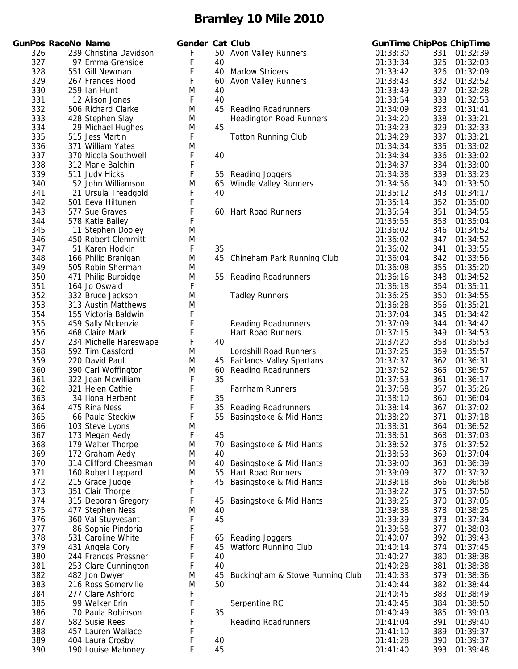|     | GunPos RaceNo Name |                        | Geno |
|-----|--------------------|------------------------|------|
| 326 |                    | 239 Christina Davidson | F    |
| 327 |                    | 97 Emma Grenside       | F    |
| 328 |                    | 551 Gill Newman        | F    |
| 329 |                    | 267 Frances Hood       | F    |
| 330 |                    | 259 Ian Hunt           | M    |
| 331 |                    | 12 Alison Jones        | F    |
| 332 |                    | 506 Richard Clarke     | M    |
| 333 |                    | 428 Stephen Slay       | Μ    |
| 334 |                    | 29 Michael Hughes      | Μ    |
| 335 |                    | 515 Jess Martin        | F    |
| 336 |                    | 371 William Yates      | M    |
| 337 |                    | 370 Nicola Southwell   | F    |
| 338 |                    | 312 Marie Balchin      | F    |
| 339 |                    | 511 Judy Hicks         | F    |
| 340 |                    | 52 John Williamson     | M    |
| 341 |                    | 21 Ursula Treadgold    | F    |
| 342 |                    | 501 Eeva Hiltunen      | F    |
| 343 |                    | 577 Sue Graves         | F    |
| 344 |                    | 578 Katie Bailey       | F    |
| 345 |                    | 11 Stephen Dooley      | Μ    |
| 346 |                    | 450 Robert Clemmitt    | Μ    |
| 347 |                    | 51 Karen Hodkin        | F    |
| 348 |                    | 166 Philip Branigan    | Μ    |
| 349 |                    | 505 Robin Sherman      | M    |
| 350 |                    | 471 Philip Burbidge    | Μ    |
| 351 |                    | 164 Jo Oswald          | F    |
| 352 |                    | 332 Bruce Jackson      | M    |
| 353 |                    | 313 Austin Matthews    | Μ    |
| 354 |                    | 155 Victoria Baldwin   | F    |
| 355 |                    | 459 Sally Mckenzie     | F    |
| 356 |                    | 468 Claire Mark        | F    |
| 357 |                    | 234 Michelle Hareswape | F    |
| 358 |                    | 592 Tim Cassford       | Μ    |
| 359 |                    | 220 David Paul         | Μ    |
| 360 |                    | 390 Carl Woffington    | M    |
| 361 |                    | 322 Jean Mcwilliam     | F    |
| 362 |                    | 321 Helen Cathie       | F    |
| 363 |                    | 34 Ilona Herbent       | F    |
| 364 |                    | 475 Rina Ness          | F    |
| 365 |                    | 66 Paula Steckiw       | F    |
| 366 |                    | 103 Steve Lyons        | M    |
| 367 |                    | 173 Megan Aedy         | F.   |
| 368 |                    | 179 Walter Thorpe      | M    |
| 369 |                    | 172 Graham Aedy        | M    |
| 370 |                    | 314 Clifford Cheesman  | M    |
| 371 |                    | 160 Robert Leppard     | M    |
| 372 |                    | 215 Grace Judge        | F    |
| 373 |                    | 351 Clair Thorpe       | F    |
| 374 |                    | 315 Deborah Gregory    | F    |
| 375 |                    | 477 Stephen Ness       | M    |
| 376 |                    | 360 Val Stuyvesant     | F    |
| 377 |                    | 86 Sophie Pindoria     | F    |
| 378 |                    | 531 Caroline White     | F    |
| 379 |                    | 431 Angela Cory        | F    |
| 380 |                    | 244 Frances Pressner   | F    |
| 381 |                    | 253 Clare Cunnington   | F    |
| 382 |                    | 482 Jon Dwyer          | Μ    |
| 383 |                    | 216 Ross Somerville    | M    |
| 384 |                    | 277 Clare Ashford      | F    |
| 385 |                    | 99 Walker Erin         | F    |
| 386 |                    | 70 Paula Robinson      | F    |
| 387 |                    | 582 Susie Rees         | F    |
| 388 |                    | 457 Lauren Wallace     | F    |
| 389 |                    | 404 Laura Crosby       | F    |
| 390 |                    | 190 Louise Mahoney     | F    |

| 326<br>239 Christina Davidson<br>F<br>50 Avon Valley Runners<br>01:33:30<br>331<br>01:32:39<br>327<br>97 Emma Grenside<br>F<br>40<br>01:33:34<br>325<br>01:32:03<br>F<br>328<br>40<br><b>Marlow Striders</b><br>01:33:42<br>326<br>01:32:09<br>551 Gill Newman<br>329<br>F<br>332<br>267 Frances Hood<br>60<br><b>Avon Valley Runners</b><br>01:33:43<br>01:32:52<br>330<br>M<br>327<br>259 Ian Hunt<br>40<br>01:33:49<br>01:32:28<br>331<br>F<br>40<br>333<br>12 Alison Jones<br>01:33:54<br>01:32:53<br>332<br>323<br>506 Richard Clarke<br>M<br>45<br><b>Reading Roadrunners</b><br>01:34:09<br>01:31:41<br>333<br><b>Headington Road Runners</b><br>01:34:20<br>338<br>01:33:21<br>428 Stephen Slay<br>M<br>45<br>334<br>M<br>329<br>01:32:33<br>29 Michael Hughes<br>01:34:23<br>F<br>335<br>337<br>515 Jess Martin<br>01:34:29<br>01:33:21<br><b>Totton Running Club</b><br>336<br>M<br>335<br>371 William Yates<br>01:34:34<br>01:33:02<br>F<br>337<br>40<br>336<br>01:33:02<br>370 Nicola Southwell<br>01:34:34<br>338<br>F<br>01:34:37<br>334<br>01:33:00<br>312 Marie Balchin<br>F<br>339<br>339<br>511 Judy Hicks<br>Reading Joggers<br>01:34:38<br>01:33:23<br>55<br>340<br>52 John Williamson<br>M<br><b>Windle Valley Runners</b><br>340<br>01:33:50<br>65<br>01:34:56<br>F<br>341<br>21 Ursula Treadgold<br>40<br>01:35:12<br>343<br>01:34:17<br>F<br>342<br>352<br>501 Eeva Hiltunen<br>01:35:14<br>01:35:00<br>F<br>343<br>351<br>577 Sue Graves<br>60 Hart Road Runners<br>01:35:54<br>01:34:55<br>F<br>353<br>344<br>578 Katie Bailey<br>01:35:55<br>01:35:04<br>345<br>11 Stephen Dooley<br>M<br>01:36:02<br>346<br>01:34:52<br>346<br>450 Robert Clemmitt<br>M<br>01:36:02<br>347<br>01:34:52<br>F<br>347<br>51 Karen Hodkin<br>35<br>01:36:02<br>341<br>01:33:55<br>348<br>342<br>166 Philip Branigan<br>M<br>45<br>01:36:04<br>01:33:56<br>Chineham Park Running Club<br>349<br>505 Robin Sherman<br>M<br>01:36:08<br>355<br>01:35:20<br>350<br>01:36:16<br>348<br>01:34:52<br>471 Philip Burbidge<br>M<br><b>Reading Roadrunners</b><br>55<br>351<br>F<br>354<br>164 Jo Oswald<br>01:36:18<br>01:35:11<br>352<br>M<br>332 Bruce Jackson<br><b>Tadley Runners</b><br>01:36:25<br>350<br>01:34:55<br>353<br>M<br>01:36:28<br>356<br>01:35:21<br>313 Austin Matthews<br>F<br>354<br>345<br>155 Victoria Baldwin<br>01:37:04<br>01:34:42<br>F<br>355<br>459 Sally Mckenzie<br><b>Reading Roadrunners</b><br>01:37:09<br>344<br>01:34:42<br>356<br>F<br>468 Claire Mark<br><b>Hart Road Runners</b><br>01:37:15<br>349<br>01:34:53<br>F<br>357<br>234 Michelle Hareswape<br>40<br>01:37:20<br>358<br>01:35:53<br>358<br>592 Tim Cassford<br>M<br>Lordshill Road Runners<br>01:37:25<br>359<br>01:35:57<br>359<br>M<br>45 Fairlands Valley Spartans<br>362<br>220 David Paul<br>01:37:37<br>01:36:31<br>360<br>390 Carl Woffington<br>M<br>01:37:52<br>365<br>01:36:57<br>60<br><b>Reading Roadrunners</b><br>361<br>F<br>35<br>322 Jean Mcwilliam<br>01:37:53<br>361<br>01:36:17<br>F<br>362<br>321 Helen Cathie<br>Farnham Runners<br>01:37:58<br>357<br>01:35:26<br>F<br>35<br>363<br>01:38:10<br>360<br>01:36:04<br>34 Ilona Herbent<br>F<br>364<br>01:38:14<br>367<br>475 Rina Ness<br>35<br><b>Reading Roadrunners</b><br>01:37:02<br>F<br>365<br>55<br>66 Paula Steckiw<br>01:38:20<br>371<br>01:37:18<br>Basingstoke & Mid Hants<br>366<br>103 Steve Lyons<br>M<br>01:38:31<br>01:36:52<br>364<br>F<br>367<br>45<br>01:38:51<br>368<br>173 Megan Aedy<br>01:37:03<br>368<br>M<br>70<br>Basingstoke & Mid Hants<br>01:38:52<br>376<br>01:37:52<br>179 Walter Thorpe<br>40<br>01:37:04<br>369<br>172 Graham Aedy<br>M<br>01:38:53<br>369<br>370<br>314 Clifford Cheesman<br>40<br>Basingstoke & Mid Hants<br>01:39:00<br>363<br>01:36:39<br>M<br>371<br><b>Hart Road Runners</b><br>01:39:09<br>372<br>01:37:32<br>160 Robert Leppard<br>M<br>55<br>F<br>372<br>215 Grace Judge<br>Basingstoke & Mid Hants<br>01:39:18<br>366<br>01:36:58<br>45<br>373<br>F<br>351 Clair Thorpe<br>01:39:22<br>375<br>01:37:50<br>F<br>374<br>315 Deborah Gregory<br>Basingstoke & Mid Hants<br>01:39:25<br>370<br>01:37:05<br>45<br>375<br>378<br>01:38:25<br>477 Stephen Ness<br>M<br>40<br>01:39:38<br>376<br>F<br>45<br>360 Val Stuyvesant<br>01:39:39<br>373<br>01:37:34<br>F<br>377<br>86 Sophie Pindoria<br>01:39:58<br>377<br>01:38:03<br>F<br>378<br>531 Caroline White<br>392<br>01:39:43<br>Reading Joggers<br>01:40:07<br>65<br>F<br>379<br>374<br>431 Angela Cory<br>Watford Running Club<br>01:40:14<br>45<br>01:37:45<br>F<br>380<br>40<br>380<br>244 Frances Pressner<br>01:40:27<br>01:38:38<br>F<br>381<br>40<br>01:40:28<br>381<br>01:38:38<br>253 Clare Cunnington<br>382<br>379<br>482 Jon Dwyer<br>M<br>45<br>Buckingham & Stowe Running Club<br>01:40:33<br>01:38:36<br>383<br>216 Ross Somerville<br>M<br>50<br>01:40:44<br>382<br>01:38:44<br>F<br>384<br>383<br>01:38:49<br>277 Clare Ashford<br>01:40:45<br>F<br>385<br>99 Walker Erin<br>Serpentine RC<br>01:40:45<br>384<br>01:38:50<br>F<br>35<br>386<br>70 Paula Robinson<br>01:40:49<br>385<br>01:39:03<br>F<br>387<br>01:41:04<br>391<br>01:39:40<br>582 Susie Rees<br><b>Reading Roadrunners</b><br>F<br>388<br>389<br>01:39:37<br>457 Lauren Wallace<br>01:41:10<br>F<br>389<br>404 Laura Crosby<br>01:41:28<br>390<br>01:39:37<br>40<br>F<br>190 Louise Mahoney |     | <b>GunPos RaceNo Name</b> | Gender Cat Club |    | <b>GunTime ChipPos ChipTime</b> |     |          |
|-------------------------------------------------------------------------------------------------------------------------------------------------------------------------------------------------------------------------------------------------------------------------------------------------------------------------------------------------------------------------------------------------------------------------------------------------------------------------------------------------------------------------------------------------------------------------------------------------------------------------------------------------------------------------------------------------------------------------------------------------------------------------------------------------------------------------------------------------------------------------------------------------------------------------------------------------------------------------------------------------------------------------------------------------------------------------------------------------------------------------------------------------------------------------------------------------------------------------------------------------------------------------------------------------------------------------------------------------------------------------------------------------------------------------------------------------------------------------------------------------------------------------------------------------------------------------------------------------------------------------------------------------------------------------------------------------------------------------------------------------------------------------------------------------------------------------------------------------------------------------------------------------------------------------------------------------------------------------------------------------------------------------------------------------------------------------------------------------------------------------------------------------------------------------------------------------------------------------------------------------------------------------------------------------------------------------------------------------------------------------------------------------------------------------------------------------------------------------------------------------------------------------------------------------------------------------------------------------------------------------------------------------------------------------------------------------------------------------------------------------------------------------------------------------------------------------------------------------------------------------------------------------------------------------------------------------------------------------------------------------------------------------------------------------------------------------------------------------------------------------------------------------------------------------------------------------------------------------------------------------------------------------------------------------------------------------------------------------------------------------------------------------------------------------------------------------------------------------------------------------------------------------------------------------------------------------------------------------------------------------------------------------------------------------------------------------------------------------------------------------------------------------------------------------------------------------------------------------------------------------------------------------------------------------------------------------------------------------------------------------------------------------------------------------------------------------------------------------------------------------------------------------------------------------------------------------------------------------------------------------------------------------------------------------------------------------------------------------------------------------------------------------------------------------------------------------------------------------------------------------------------------------------------------------------------------------------------------------------------------------------------------------------------------------------------------------------------------------------------------------------------------------------------------------------------------------------------------------------------------------------------------------------------------------------------------------------------------------------------------------------------------------------------------------------------------------------------------------------------------------------------------------------------------------------------------------------------------------------------------------------------------------------------------------------------------------------------------------------------|-----|---------------------------|-----------------|----|---------------------------------|-----|----------|
|                                                                                                                                                                                                                                                                                                                                                                                                                                                                                                                                                                                                                                                                                                                                                                                                                                                                                                                                                                                                                                                                                                                                                                                                                                                                                                                                                                                                                                                                                                                                                                                                                                                                                                                                                                                                                                                                                                                                                                                                                                                                                                                                                                                                                                                                                                                                                                                                                                                                                                                                                                                                                                                                                                                                                                                                                                                                                                                                                                                                                                                                                                                                                                                                                                                                                                                                                                                                                                                                                                                                                                                                                                                                                                                                                                                                                                                                                                                                                                                                                                                                                                                                                                                                                                                                                                                                                                                                                                                                                                                                                                                                                                                                                                                                                                                                                                                                                                                                                                                                                                                                                                                                                                                                                                                                                                                                                             |     |                           |                 |    |                                 |     |          |
|                                                                                                                                                                                                                                                                                                                                                                                                                                                                                                                                                                                                                                                                                                                                                                                                                                                                                                                                                                                                                                                                                                                                                                                                                                                                                                                                                                                                                                                                                                                                                                                                                                                                                                                                                                                                                                                                                                                                                                                                                                                                                                                                                                                                                                                                                                                                                                                                                                                                                                                                                                                                                                                                                                                                                                                                                                                                                                                                                                                                                                                                                                                                                                                                                                                                                                                                                                                                                                                                                                                                                                                                                                                                                                                                                                                                                                                                                                                                                                                                                                                                                                                                                                                                                                                                                                                                                                                                                                                                                                                                                                                                                                                                                                                                                                                                                                                                                                                                                                                                                                                                                                                                                                                                                                                                                                                                                             |     |                           |                 |    |                                 |     |          |
|                                                                                                                                                                                                                                                                                                                                                                                                                                                                                                                                                                                                                                                                                                                                                                                                                                                                                                                                                                                                                                                                                                                                                                                                                                                                                                                                                                                                                                                                                                                                                                                                                                                                                                                                                                                                                                                                                                                                                                                                                                                                                                                                                                                                                                                                                                                                                                                                                                                                                                                                                                                                                                                                                                                                                                                                                                                                                                                                                                                                                                                                                                                                                                                                                                                                                                                                                                                                                                                                                                                                                                                                                                                                                                                                                                                                                                                                                                                                                                                                                                                                                                                                                                                                                                                                                                                                                                                                                                                                                                                                                                                                                                                                                                                                                                                                                                                                                                                                                                                                                                                                                                                                                                                                                                                                                                                                                             |     |                           |                 |    |                                 |     |          |
|                                                                                                                                                                                                                                                                                                                                                                                                                                                                                                                                                                                                                                                                                                                                                                                                                                                                                                                                                                                                                                                                                                                                                                                                                                                                                                                                                                                                                                                                                                                                                                                                                                                                                                                                                                                                                                                                                                                                                                                                                                                                                                                                                                                                                                                                                                                                                                                                                                                                                                                                                                                                                                                                                                                                                                                                                                                                                                                                                                                                                                                                                                                                                                                                                                                                                                                                                                                                                                                                                                                                                                                                                                                                                                                                                                                                                                                                                                                                                                                                                                                                                                                                                                                                                                                                                                                                                                                                                                                                                                                                                                                                                                                                                                                                                                                                                                                                                                                                                                                                                                                                                                                                                                                                                                                                                                                                                             |     |                           |                 |    |                                 |     |          |
|                                                                                                                                                                                                                                                                                                                                                                                                                                                                                                                                                                                                                                                                                                                                                                                                                                                                                                                                                                                                                                                                                                                                                                                                                                                                                                                                                                                                                                                                                                                                                                                                                                                                                                                                                                                                                                                                                                                                                                                                                                                                                                                                                                                                                                                                                                                                                                                                                                                                                                                                                                                                                                                                                                                                                                                                                                                                                                                                                                                                                                                                                                                                                                                                                                                                                                                                                                                                                                                                                                                                                                                                                                                                                                                                                                                                                                                                                                                                                                                                                                                                                                                                                                                                                                                                                                                                                                                                                                                                                                                                                                                                                                                                                                                                                                                                                                                                                                                                                                                                                                                                                                                                                                                                                                                                                                                                                             |     |                           |                 |    |                                 |     |          |
|                                                                                                                                                                                                                                                                                                                                                                                                                                                                                                                                                                                                                                                                                                                                                                                                                                                                                                                                                                                                                                                                                                                                                                                                                                                                                                                                                                                                                                                                                                                                                                                                                                                                                                                                                                                                                                                                                                                                                                                                                                                                                                                                                                                                                                                                                                                                                                                                                                                                                                                                                                                                                                                                                                                                                                                                                                                                                                                                                                                                                                                                                                                                                                                                                                                                                                                                                                                                                                                                                                                                                                                                                                                                                                                                                                                                                                                                                                                                                                                                                                                                                                                                                                                                                                                                                                                                                                                                                                                                                                                                                                                                                                                                                                                                                                                                                                                                                                                                                                                                                                                                                                                                                                                                                                                                                                                                                             |     |                           |                 |    |                                 |     |          |
|                                                                                                                                                                                                                                                                                                                                                                                                                                                                                                                                                                                                                                                                                                                                                                                                                                                                                                                                                                                                                                                                                                                                                                                                                                                                                                                                                                                                                                                                                                                                                                                                                                                                                                                                                                                                                                                                                                                                                                                                                                                                                                                                                                                                                                                                                                                                                                                                                                                                                                                                                                                                                                                                                                                                                                                                                                                                                                                                                                                                                                                                                                                                                                                                                                                                                                                                                                                                                                                                                                                                                                                                                                                                                                                                                                                                                                                                                                                                                                                                                                                                                                                                                                                                                                                                                                                                                                                                                                                                                                                                                                                                                                                                                                                                                                                                                                                                                                                                                                                                                                                                                                                                                                                                                                                                                                                                                             |     |                           |                 |    |                                 |     |          |
|                                                                                                                                                                                                                                                                                                                                                                                                                                                                                                                                                                                                                                                                                                                                                                                                                                                                                                                                                                                                                                                                                                                                                                                                                                                                                                                                                                                                                                                                                                                                                                                                                                                                                                                                                                                                                                                                                                                                                                                                                                                                                                                                                                                                                                                                                                                                                                                                                                                                                                                                                                                                                                                                                                                                                                                                                                                                                                                                                                                                                                                                                                                                                                                                                                                                                                                                                                                                                                                                                                                                                                                                                                                                                                                                                                                                                                                                                                                                                                                                                                                                                                                                                                                                                                                                                                                                                                                                                                                                                                                                                                                                                                                                                                                                                                                                                                                                                                                                                                                                                                                                                                                                                                                                                                                                                                                                                             |     |                           |                 |    |                                 |     |          |
|                                                                                                                                                                                                                                                                                                                                                                                                                                                                                                                                                                                                                                                                                                                                                                                                                                                                                                                                                                                                                                                                                                                                                                                                                                                                                                                                                                                                                                                                                                                                                                                                                                                                                                                                                                                                                                                                                                                                                                                                                                                                                                                                                                                                                                                                                                                                                                                                                                                                                                                                                                                                                                                                                                                                                                                                                                                                                                                                                                                                                                                                                                                                                                                                                                                                                                                                                                                                                                                                                                                                                                                                                                                                                                                                                                                                                                                                                                                                                                                                                                                                                                                                                                                                                                                                                                                                                                                                                                                                                                                                                                                                                                                                                                                                                                                                                                                                                                                                                                                                                                                                                                                                                                                                                                                                                                                                                             |     |                           |                 |    |                                 |     |          |
|                                                                                                                                                                                                                                                                                                                                                                                                                                                                                                                                                                                                                                                                                                                                                                                                                                                                                                                                                                                                                                                                                                                                                                                                                                                                                                                                                                                                                                                                                                                                                                                                                                                                                                                                                                                                                                                                                                                                                                                                                                                                                                                                                                                                                                                                                                                                                                                                                                                                                                                                                                                                                                                                                                                                                                                                                                                                                                                                                                                                                                                                                                                                                                                                                                                                                                                                                                                                                                                                                                                                                                                                                                                                                                                                                                                                                                                                                                                                                                                                                                                                                                                                                                                                                                                                                                                                                                                                                                                                                                                                                                                                                                                                                                                                                                                                                                                                                                                                                                                                                                                                                                                                                                                                                                                                                                                                                             |     |                           |                 |    |                                 |     |          |
|                                                                                                                                                                                                                                                                                                                                                                                                                                                                                                                                                                                                                                                                                                                                                                                                                                                                                                                                                                                                                                                                                                                                                                                                                                                                                                                                                                                                                                                                                                                                                                                                                                                                                                                                                                                                                                                                                                                                                                                                                                                                                                                                                                                                                                                                                                                                                                                                                                                                                                                                                                                                                                                                                                                                                                                                                                                                                                                                                                                                                                                                                                                                                                                                                                                                                                                                                                                                                                                                                                                                                                                                                                                                                                                                                                                                                                                                                                                                                                                                                                                                                                                                                                                                                                                                                                                                                                                                                                                                                                                                                                                                                                                                                                                                                                                                                                                                                                                                                                                                                                                                                                                                                                                                                                                                                                                                                             |     |                           |                 |    |                                 |     |          |
|                                                                                                                                                                                                                                                                                                                                                                                                                                                                                                                                                                                                                                                                                                                                                                                                                                                                                                                                                                                                                                                                                                                                                                                                                                                                                                                                                                                                                                                                                                                                                                                                                                                                                                                                                                                                                                                                                                                                                                                                                                                                                                                                                                                                                                                                                                                                                                                                                                                                                                                                                                                                                                                                                                                                                                                                                                                                                                                                                                                                                                                                                                                                                                                                                                                                                                                                                                                                                                                                                                                                                                                                                                                                                                                                                                                                                                                                                                                                                                                                                                                                                                                                                                                                                                                                                                                                                                                                                                                                                                                                                                                                                                                                                                                                                                                                                                                                                                                                                                                                                                                                                                                                                                                                                                                                                                                                                             |     |                           |                 |    |                                 |     |          |
|                                                                                                                                                                                                                                                                                                                                                                                                                                                                                                                                                                                                                                                                                                                                                                                                                                                                                                                                                                                                                                                                                                                                                                                                                                                                                                                                                                                                                                                                                                                                                                                                                                                                                                                                                                                                                                                                                                                                                                                                                                                                                                                                                                                                                                                                                                                                                                                                                                                                                                                                                                                                                                                                                                                                                                                                                                                                                                                                                                                                                                                                                                                                                                                                                                                                                                                                                                                                                                                                                                                                                                                                                                                                                                                                                                                                                                                                                                                                                                                                                                                                                                                                                                                                                                                                                                                                                                                                                                                                                                                                                                                                                                                                                                                                                                                                                                                                                                                                                                                                                                                                                                                                                                                                                                                                                                                                                             |     |                           |                 |    |                                 |     |          |
|                                                                                                                                                                                                                                                                                                                                                                                                                                                                                                                                                                                                                                                                                                                                                                                                                                                                                                                                                                                                                                                                                                                                                                                                                                                                                                                                                                                                                                                                                                                                                                                                                                                                                                                                                                                                                                                                                                                                                                                                                                                                                                                                                                                                                                                                                                                                                                                                                                                                                                                                                                                                                                                                                                                                                                                                                                                                                                                                                                                                                                                                                                                                                                                                                                                                                                                                                                                                                                                                                                                                                                                                                                                                                                                                                                                                                                                                                                                                                                                                                                                                                                                                                                                                                                                                                                                                                                                                                                                                                                                                                                                                                                                                                                                                                                                                                                                                                                                                                                                                                                                                                                                                                                                                                                                                                                                                                             |     |                           |                 |    |                                 |     |          |
|                                                                                                                                                                                                                                                                                                                                                                                                                                                                                                                                                                                                                                                                                                                                                                                                                                                                                                                                                                                                                                                                                                                                                                                                                                                                                                                                                                                                                                                                                                                                                                                                                                                                                                                                                                                                                                                                                                                                                                                                                                                                                                                                                                                                                                                                                                                                                                                                                                                                                                                                                                                                                                                                                                                                                                                                                                                                                                                                                                                                                                                                                                                                                                                                                                                                                                                                                                                                                                                                                                                                                                                                                                                                                                                                                                                                                                                                                                                                                                                                                                                                                                                                                                                                                                                                                                                                                                                                                                                                                                                                                                                                                                                                                                                                                                                                                                                                                                                                                                                                                                                                                                                                                                                                                                                                                                                                                             |     |                           |                 |    |                                 |     |          |
|                                                                                                                                                                                                                                                                                                                                                                                                                                                                                                                                                                                                                                                                                                                                                                                                                                                                                                                                                                                                                                                                                                                                                                                                                                                                                                                                                                                                                                                                                                                                                                                                                                                                                                                                                                                                                                                                                                                                                                                                                                                                                                                                                                                                                                                                                                                                                                                                                                                                                                                                                                                                                                                                                                                                                                                                                                                                                                                                                                                                                                                                                                                                                                                                                                                                                                                                                                                                                                                                                                                                                                                                                                                                                                                                                                                                                                                                                                                                                                                                                                                                                                                                                                                                                                                                                                                                                                                                                                                                                                                                                                                                                                                                                                                                                                                                                                                                                                                                                                                                                                                                                                                                                                                                                                                                                                                                                             |     |                           |                 |    |                                 |     |          |
|                                                                                                                                                                                                                                                                                                                                                                                                                                                                                                                                                                                                                                                                                                                                                                                                                                                                                                                                                                                                                                                                                                                                                                                                                                                                                                                                                                                                                                                                                                                                                                                                                                                                                                                                                                                                                                                                                                                                                                                                                                                                                                                                                                                                                                                                                                                                                                                                                                                                                                                                                                                                                                                                                                                                                                                                                                                                                                                                                                                                                                                                                                                                                                                                                                                                                                                                                                                                                                                                                                                                                                                                                                                                                                                                                                                                                                                                                                                                                                                                                                                                                                                                                                                                                                                                                                                                                                                                                                                                                                                                                                                                                                                                                                                                                                                                                                                                                                                                                                                                                                                                                                                                                                                                                                                                                                                                                             |     |                           |                 |    |                                 |     |          |
|                                                                                                                                                                                                                                                                                                                                                                                                                                                                                                                                                                                                                                                                                                                                                                                                                                                                                                                                                                                                                                                                                                                                                                                                                                                                                                                                                                                                                                                                                                                                                                                                                                                                                                                                                                                                                                                                                                                                                                                                                                                                                                                                                                                                                                                                                                                                                                                                                                                                                                                                                                                                                                                                                                                                                                                                                                                                                                                                                                                                                                                                                                                                                                                                                                                                                                                                                                                                                                                                                                                                                                                                                                                                                                                                                                                                                                                                                                                                                                                                                                                                                                                                                                                                                                                                                                                                                                                                                                                                                                                                                                                                                                                                                                                                                                                                                                                                                                                                                                                                                                                                                                                                                                                                                                                                                                                                                             |     |                           |                 |    |                                 |     |          |
|                                                                                                                                                                                                                                                                                                                                                                                                                                                                                                                                                                                                                                                                                                                                                                                                                                                                                                                                                                                                                                                                                                                                                                                                                                                                                                                                                                                                                                                                                                                                                                                                                                                                                                                                                                                                                                                                                                                                                                                                                                                                                                                                                                                                                                                                                                                                                                                                                                                                                                                                                                                                                                                                                                                                                                                                                                                                                                                                                                                                                                                                                                                                                                                                                                                                                                                                                                                                                                                                                                                                                                                                                                                                                                                                                                                                                                                                                                                                                                                                                                                                                                                                                                                                                                                                                                                                                                                                                                                                                                                                                                                                                                                                                                                                                                                                                                                                                                                                                                                                                                                                                                                                                                                                                                                                                                                                                             |     |                           |                 |    |                                 |     |          |
|                                                                                                                                                                                                                                                                                                                                                                                                                                                                                                                                                                                                                                                                                                                                                                                                                                                                                                                                                                                                                                                                                                                                                                                                                                                                                                                                                                                                                                                                                                                                                                                                                                                                                                                                                                                                                                                                                                                                                                                                                                                                                                                                                                                                                                                                                                                                                                                                                                                                                                                                                                                                                                                                                                                                                                                                                                                                                                                                                                                                                                                                                                                                                                                                                                                                                                                                                                                                                                                                                                                                                                                                                                                                                                                                                                                                                                                                                                                                                                                                                                                                                                                                                                                                                                                                                                                                                                                                                                                                                                                                                                                                                                                                                                                                                                                                                                                                                                                                                                                                                                                                                                                                                                                                                                                                                                                                                             |     |                           |                 |    |                                 |     |          |
|                                                                                                                                                                                                                                                                                                                                                                                                                                                                                                                                                                                                                                                                                                                                                                                                                                                                                                                                                                                                                                                                                                                                                                                                                                                                                                                                                                                                                                                                                                                                                                                                                                                                                                                                                                                                                                                                                                                                                                                                                                                                                                                                                                                                                                                                                                                                                                                                                                                                                                                                                                                                                                                                                                                                                                                                                                                                                                                                                                                                                                                                                                                                                                                                                                                                                                                                                                                                                                                                                                                                                                                                                                                                                                                                                                                                                                                                                                                                                                                                                                                                                                                                                                                                                                                                                                                                                                                                                                                                                                                                                                                                                                                                                                                                                                                                                                                                                                                                                                                                                                                                                                                                                                                                                                                                                                                                                             |     |                           |                 |    |                                 |     |          |
|                                                                                                                                                                                                                                                                                                                                                                                                                                                                                                                                                                                                                                                                                                                                                                                                                                                                                                                                                                                                                                                                                                                                                                                                                                                                                                                                                                                                                                                                                                                                                                                                                                                                                                                                                                                                                                                                                                                                                                                                                                                                                                                                                                                                                                                                                                                                                                                                                                                                                                                                                                                                                                                                                                                                                                                                                                                                                                                                                                                                                                                                                                                                                                                                                                                                                                                                                                                                                                                                                                                                                                                                                                                                                                                                                                                                                                                                                                                                                                                                                                                                                                                                                                                                                                                                                                                                                                                                                                                                                                                                                                                                                                                                                                                                                                                                                                                                                                                                                                                                                                                                                                                                                                                                                                                                                                                                                             |     |                           |                 |    |                                 |     |          |
|                                                                                                                                                                                                                                                                                                                                                                                                                                                                                                                                                                                                                                                                                                                                                                                                                                                                                                                                                                                                                                                                                                                                                                                                                                                                                                                                                                                                                                                                                                                                                                                                                                                                                                                                                                                                                                                                                                                                                                                                                                                                                                                                                                                                                                                                                                                                                                                                                                                                                                                                                                                                                                                                                                                                                                                                                                                                                                                                                                                                                                                                                                                                                                                                                                                                                                                                                                                                                                                                                                                                                                                                                                                                                                                                                                                                                                                                                                                                                                                                                                                                                                                                                                                                                                                                                                                                                                                                                                                                                                                                                                                                                                                                                                                                                                                                                                                                                                                                                                                                                                                                                                                                                                                                                                                                                                                                                             |     |                           |                 |    |                                 |     |          |
|                                                                                                                                                                                                                                                                                                                                                                                                                                                                                                                                                                                                                                                                                                                                                                                                                                                                                                                                                                                                                                                                                                                                                                                                                                                                                                                                                                                                                                                                                                                                                                                                                                                                                                                                                                                                                                                                                                                                                                                                                                                                                                                                                                                                                                                                                                                                                                                                                                                                                                                                                                                                                                                                                                                                                                                                                                                                                                                                                                                                                                                                                                                                                                                                                                                                                                                                                                                                                                                                                                                                                                                                                                                                                                                                                                                                                                                                                                                                                                                                                                                                                                                                                                                                                                                                                                                                                                                                                                                                                                                                                                                                                                                                                                                                                                                                                                                                                                                                                                                                                                                                                                                                                                                                                                                                                                                                                             |     |                           |                 |    |                                 |     |          |
|                                                                                                                                                                                                                                                                                                                                                                                                                                                                                                                                                                                                                                                                                                                                                                                                                                                                                                                                                                                                                                                                                                                                                                                                                                                                                                                                                                                                                                                                                                                                                                                                                                                                                                                                                                                                                                                                                                                                                                                                                                                                                                                                                                                                                                                                                                                                                                                                                                                                                                                                                                                                                                                                                                                                                                                                                                                                                                                                                                                                                                                                                                                                                                                                                                                                                                                                                                                                                                                                                                                                                                                                                                                                                                                                                                                                                                                                                                                                                                                                                                                                                                                                                                                                                                                                                                                                                                                                                                                                                                                                                                                                                                                                                                                                                                                                                                                                                                                                                                                                                                                                                                                                                                                                                                                                                                                                                             |     |                           |                 |    |                                 |     |          |
|                                                                                                                                                                                                                                                                                                                                                                                                                                                                                                                                                                                                                                                                                                                                                                                                                                                                                                                                                                                                                                                                                                                                                                                                                                                                                                                                                                                                                                                                                                                                                                                                                                                                                                                                                                                                                                                                                                                                                                                                                                                                                                                                                                                                                                                                                                                                                                                                                                                                                                                                                                                                                                                                                                                                                                                                                                                                                                                                                                                                                                                                                                                                                                                                                                                                                                                                                                                                                                                                                                                                                                                                                                                                                                                                                                                                                                                                                                                                                                                                                                                                                                                                                                                                                                                                                                                                                                                                                                                                                                                                                                                                                                                                                                                                                                                                                                                                                                                                                                                                                                                                                                                                                                                                                                                                                                                                                             |     |                           |                 |    |                                 |     |          |
|                                                                                                                                                                                                                                                                                                                                                                                                                                                                                                                                                                                                                                                                                                                                                                                                                                                                                                                                                                                                                                                                                                                                                                                                                                                                                                                                                                                                                                                                                                                                                                                                                                                                                                                                                                                                                                                                                                                                                                                                                                                                                                                                                                                                                                                                                                                                                                                                                                                                                                                                                                                                                                                                                                                                                                                                                                                                                                                                                                                                                                                                                                                                                                                                                                                                                                                                                                                                                                                                                                                                                                                                                                                                                                                                                                                                                                                                                                                                                                                                                                                                                                                                                                                                                                                                                                                                                                                                                                                                                                                                                                                                                                                                                                                                                                                                                                                                                                                                                                                                                                                                                                                                                                                                                                                                                                                                                             |     |                           |                 |    |                                 |     |          |
|                                                                                                                                                                                                                                                                                                                                                                                                                                                                                                                                                                                                                                                                                                                                                                                                                                                                                                                                                                                                                                                                                                                                                                                                                                                                                                                                                                                                                                                                                                                                                                                                                                                                                                                                                                                                                                                                                                                                                                                                                                                                                                                                                                                                                                                                                                                                                                                                                                                                                                                                                                                                                                                                                                                                                                                                                                                                                                                                                                                                                                                                                                                                                                                                                                                                                                                                                                                                                                                                                                                                                                                                                                                                                                                                                                                                                                                                                                                                                                                                                                                                                                                                                                                                                                                                                                                                                                                                                                                                                                                                                                                                                                                                                                                                                                                                                                                                                                                                                                                                                                                                                                                                                                                                                                                                                                                                                             |     |                           |                 |    |                                 |     |          |
|                                                                                                                                                                                                                                                                                                                                                                                                                                                                                                                                                                                                                                                                                                                                                                                                                                                                                                                                                                                                                                                                                                                                                                                                                                                                                                                                                                                                                                                                                                                                                                                                                                                                                                                                                                                                                                                                                                                                                                                                                                                                                                                                                                                                                                                                                                                                                                                                                                                                                                                                                                                                                                                                                                                                                                                                                                                                                                                                                                                                                                                                                                                                                                                                                                                                                                                                                                                                                                                                                                                                                                                                                                                                                                                                                                                                                                                                                                                                                                                                                                                                                                                                                                                                                                                                                                                                                                                                                                                                                                                                                                                                                                                                                                                                                                                                                                                                                                                                                                                                                                                                                                                                                                                                                                                                                                                                                             |     |                           |                 |    |                                 |     |          |
|                                                                                                                                                                                                                                                                                                                                                                                                                                                                                                                                                                                                                                                                                                                                                                                                                                                                                                                                                                                                                                                                                                                                                                                                                                                                                                                                                                                                                                                                                                                                                                                                                                                                                                                                                                                                                                                                                                                                                                                                                                                                                                                                                                                                                                                                                                                                                                                                                                                                                                                                                                                                                                                                                                                                                                                                                                                                                                                                                                                                                                                                                                                                                                                                                                                                                                                                                                                                                                                                                                                                                                                                                                                                                                                                                                                                                                                                                                                                                                                                                                                                                                                                                                                                                                                                                                                                                                                                                                                                                                                                                                                                                                                                                                                                                                                                                                                                                                                                                                                                                                                                                                                                                                                                                                                                                                                                                             |     |                           |                 |    |                                 |     |          |
|                                                                                                                                                                                                                                                                                                                                                                                                                                                                                                                                                                                                                                                                                                                                                                                                                                                                                                                                                                                                                                                                                                                                                                                                                                                                                                                                                                                                                                                                                                                                                                                                                                                                                                                                                                                                                                                                                                                                                                                                                                                                                                                                                                                                                                                                                                                                                                                                                                                                                                                                                                                                                                                                                                                                                                                                                                                                                                                                                                                                                                                                                                                                                                                                                                                                                                                                                                                                                                                                                                                                                                                                                                                                                                                                                                                                                                                                                                                                                                                                                                                                                                                                                                                                                                                                                                                                                                                                                                                                                                                                                                                                                                                                                                                                                                                                                                                                                                                                                                                                                                                                                                                                                                                                                                                                                                                                                             |     |                           |                 |    |                                 |     |          |
|                                                                                                                                                                                                                                                                                                                                                                                                                                                                                                                                                                                                                                                                                                                                                                                                                                                                                                                                                                                                                                                                                                                                                                                                                                                                                                                                                                                                                                                                                                                                                                                                                                                                                                                                                                                                                                                                                                                                                                                                                                                                                                                                                                                                                                                                                                                                                                                                                                                                                                                                                                                                                                                                                                                                                                                                                                                                                                                                                                                                                                                                                                                                                                                                                                                                                                                                                                                                                                                                                                                                                                                                                                                                                                                                                                                                                                                                                                                                                                                                                                                                                                                                                                                                                                                                                                                                                                                                                                                                                                                                                                                                                                                                                                                                                                                                                                                                                                                                                                                                                                                                                                                                                                                                                                                                                                                                                             |     |                           |                 |    |                                 |     |          |
|                                                                                                                                                                                                                                                                                                                                                                                                                                                                                                                                                                                                                                                                                                                                                                                                                                                                                                                                                                                                                                                                                                                                                                                                                                                                                                                                                                                                                                                                                                                                                                                                                                                                                                                                                                                                                                                                                                                                                                                                                                                                                                                                                                                                                                                                                                                                                                                                                                                                                                                                                                                                                                                                                                                                                                                                                                                                                                                                                                                                                                                                                                                                                                                                                                                                                                                                                                                                                                                                                                                                                                                                                                                                                                                                                                                                                                                                                                                                                                                                                                                                                                                                                                                                                                                                                                                                                                                                                                                                                                                                                                                                                                                                                                                                                                                                                                                                                                                                                                                                                                                                                                                                                                                                                                                                                                                                                             |     |                           |                 |    |                                 |     |          |
|                                                                                                                                                                                                                                                                                                                                                                                                                                                                                                                                                                                                                                                                                                                                                                                                                                                                                                                                                                                                                                                                                                                                                                                                                                                                                                                                                                                                                                                                                                                                                                                                                                                                                                                                                                                                                                                                                                                                                                                                                                                                                                                                                                                                                                                                                                                                                                                                                                                                                                                                                                                                                                                                                                                                                                                                                                                                                                                                                                                                                                                                                                                                                                                                                                                                                                                                                                                                                                                                                                                                                                                                                                                                                                                                                                                                                                                                                                                                                                                                                                                                                                                                                                                                                                                                                                                                                                                                                                                                                                                                                                                                                                                                                                                                                                                                                                                                                                                                                                                                                                                                                                                                                                                                                                                                                                                                                             |     |                           |                 |    |                                 |     |          |
|                                                                                                                                                                                                                                                                                                                                                                                                                                                                                                                                                                                                                                                                                                                                                                                                                                                                                                                                                                                                                                                                                                                                                                                                                                                                                                                                                                                                                                                                                                                                                                                                                                                                                                                                                                                                                                                                                                                                                                                                                                                                                                                                                                                                                                                                                                                                                                                                                                                                                                                                                                                                                                                                                                                                                                                                                                                                                                                                                                                                                                                                                                                                                                                                                                                                                                                                                                                                                                                                                                                                                                                                                                                                                                                                                                                                                                                                                                                                                                                                                                                                                                                                                                                                                                                                                                                                                                                                                                                                                                                                                                                                                                                                                                                                                                                                                                                                                                                                                                                                                                                                                                                                                                                                                                                                                                                                                             |     |                           |                 |    |                                 |     |          |
|                                                                                                                                                                                                                                                                                                                                                                                                                                                                                                                                                                                                                                                                                                                                                                                                                                                                                                                                                                                                                                                                                                                                                                                                                                                                                                                                                                                                                                                                                                                                                                                                                                                                                                                                                                                                                                                                                                                                                                                                                                                                                                                                                                                                                                                                                                                                                                                                                                                                                                                                                                                                                                                                                                                                                                                                                                                                                                                                                                                                                                                                                                                                                                                                                                                                                                                                                                                                                                                                                                                                                                                                                                                                                                                                                                                                                                                                                                                                                                                                                                                                                                                                                                                                                                                                                                                                                                                                                                                                                                                                                                                                                                                                                                                                                                                                                                                                                                                                                                                                                                                                                                                                                                                                                                                                                                                                                             |     |                           |                 |    |                                 |     |          |
|                                                                                                                                                                                                                                                                                                                                                                                                                                                                                                                                                                                                                                                                                                                                                                                                                                                                                                                                                                                                                                                                                                                                                                                                                                                                                                                                                                                                                                                                                                                                                                                                                                                                                                                                                                                                                                                                                                                                                                                                                                                                                                                                                                                                                                                                                                                                                                                                                                                                                                                                                                                                                                                                                                                                                                                                                                                                                                                                                                                                                                                                                                                                                                                                                                                                                                                                                                                                                                                                                                                                                                                                                                                                                                                                                                                                                                                                                                                                                                                                                                                                                                                                                                                                                                                                                                                                                                                                                                                                                                                                                                                                                                                                                                                                                                                                                                                                                                                                                                                                                                                                                                                                                                                                                                                                                                                                                             |     |                           |                 |    |                                 |     |          |
|                                                                                                                                                                                                                                                                                                                                                                                                                                                                                                                                                                                                                                                                                                                                                                                                                                                                                                                                                                                                                                                                                                                                                                                                                                                                                                                                                                                                                                                                                                                                                                                                                                                                                                                                                                                                                                                                                                                                                                                                                                                                                                                                                                                                                                                                                                                                                                                                                                                                                                                                                                                                                                                                                                                                                                                                                                                                                                                                                                                                                                                                                                                                                                                                                                                                                                                                                                                                                                                                                                                                                                                                                                                                                                                                                                                                                                                                                                                                                                                                                                                                                                                                                                                                                                                                                                                                                                                                                                                                                                                                                                                                                                                                                                                                                                                                                                                                                                                                                                                                                                                                                                                                                                                                                                                                                                                                                             |     |                           |                 |    |                                 |     |          |
|                                                                                                                                                                                                                                                                                                                                                                                                                                                                                                                                                                                                                                                                                                                                                                                                                                                                                                                                                                                                                                                                                                                                                                                                                                                                                                                                                                                                                                                                                                                                                                                                                                                                                                                                                                                                                                                                                                                                                                                                                                                                                                                                                                                                                                                                                                                                                                                                                                                                                                                                                                                                                                                                                                                                                                                                                                                                                                                                                                                                                                                                                                                                                                                                                                                                                                                                                                                                                                                                                                                                                                                                                                                                                                                                                                                                                                                                                                                                                                                                                                                                                                                                                                                                                                                                                                                                                                                                                                                                                                                                                                                                                                                                                                                                                                                                                                                                                                                                                                                                                                                                                                                                                                                                                                                                                                                                                             |     |                           |                 |    |                                 |     |          |
|                                                                                                                                                                                                                                                                                                                                                                                                                                                                                                                                                                                                                                                                                                                                                                                                                                                                                                                                                                                                                                                                                                                                                                                                                                                                                                                                                                                                                                                                                                                                                                                                                                                                                                                                                                                                                                                                                                                                                                                                                                                                                                                                                                                                                                                                                                                                                                                                                                                                                                                                                                                                                                                                                                                                                                                                                                                                                                                                                                                                                                                                                                                                                                                                                                                                                                                                                                                                                                                                                                                                                                                                                                                                                                                                                                                                                                                                                                                                                                                                                                                                                                                                                                                                                                                                                                                                                                                                                                                                                                                                                                                                                                                                                                                                                                                                                                                                                                                                                                                                                                                                                                                                                                                                                                                                                                                                                             |     |                           |                 |    |                                 |     |          |
|                                                                                                                                                                                                                                                                                                                                                                                                                                                                                                                                                                                                                                                                                                                                                                                                                                                                                                                                                                                                                                                                                                                                                                                                                                                                                                                                                                                                                                                                                                                                                                                                                                                                                                                                                                                                                                                                                                                                                                                                                                                                                                                                                                                                                                                                                                                                                                                                                                                                                                                                                                                                                                                                                                                                                                                                                                                                                                                                                                                                                                                                                                                                                                                                                                                                                                                                                                                                                                                                                                                                                                                                                                                                                                                                                                                                                                                                                                                                                                                                                                                                                                                                                                                                                                                                                                                                                                                                                                                                                                                                                                                                                                                                                                                                                                                                                                                                                                                                                                                                                                                                                                                                                                                                                                                                                                                                                             |     |                           |                 |    |                                 |     |          |
|                                                                                                                                                                                                                                                                                                                                                                                                                                                                                                                                                                                                                                                                                                                                                                                                                                                                                                                                                                                                                                                                                                                                                                                                                                                                                                                                                                                                                                                                                                                                                                                                                                                                                                                                                                                                                                                                                                                                                                                                                                                                                                                                                                                                                                                                                                                                                                                                                                                                                                                                                                                                                                                                                                                                                                                                                                                                                                                                                                                                                                                                                                                                                                                                                                                                                                                                                                                                                                                                                                                                                                                                                                                                                                                                                                                                                                                                                                                                                                                                                                                                                                                                                                                                                                                                                                                                                                                                                                                                                                                                                                                                                                                                                                                                                                                                                                                                                                                                                                                                                                                                                                                                                                                                                                                                                                                                                             |     |                           |                 |    |                                 |     |          |
|                                                                                                                                                                                                                                                                                                                                                                                                                                                                                                                                                                                                                                                                                                                                                                                                                                                                                                                                                                                                                                                                                                                                                                                                                                                                                                                                                                                                                                                                                                                                                                                                                                                                                                                                                                                                                                                                                                                                                                                                                                                                                                                                                                                                                                                                                                                                                                                                                                                                                                                                                                                                                                                                                                                                                                                                                                                                                                                                                                                                                                                                                                                                                                                                                                                                                                                                                                                                                                                                                                                                                                                                                                                                                                                                                                                                                                                                                                                                                                                                                                                                                                                                                                                                                                                                                                                                                                                                                                                                                                                                                                                                                                                                                                                                                                                                                                                                                                                                                                                                                                                                                                                                                                                                                                                                                                                                                             |     |                           |                 |    |                                 |     |          |
|                                                                                                                                                                                                                                                                                                                                                                                                                                                                                                                                                                                                                                                                                                                                                                                                                                                                                                                                                                                                                                                                                                                                                                                                                                                                                                                                                                                                                                                                                                                                                                                                                                                                                                                                                                                                                                                                                                                                                                                                                                                                                                                                                                                                                                                                                                                                                                                                                                                                                                                                                                                                                                                                                                                                                                                                                                                                                                                                                                                                                                                                                                                                                                                                                                                                                                                                                                                                                                                                                                                                                                                                                                                                                                                                                                                                                                                                                                                                                                                                                                                                                                                                                                                                                                                                                                                                                                                                                                                                                                                                                                                                                                                                                                                                                                                                                                                                                                                                                                                                                                                                                                                                                                                                                                                                                                                                                             |     |                           |                 |    |                                 |     |          |
|                                                                                                                                                                                                                                                                                                                                                                                                                                                                                                                                                                                                                                                                                                                                                                                                                                                                                                                                                                                                                                                                                                                                                                                                                                                                                                                                                                                                                                                                                                                                                                                                                                                                                                                                                                                                                                                                                                                                                                                                                                                                                                                                                                                                                                                                                                                                                                                                                                                                                                                                                                                                                                                                                                                                                                                                                                                                                                                                                                                                                                                                                                                                                                                                                                                                                                                                                                                                                                                                                                                                                                                                                                                                                                                                                                                                                                                                                                                                                                                                                                                                                                                                                                                                                                                                                                                                                                                                                                                                                                                                                                                                                                                                                                                                                                                                                                                                                                                                                                                                                                                                                                                                                                                                                                                                                                                                                             |     |                           |                 |    |                                 |     |          |
|                                                                                                                                                                                                                                                                                                                                                                                                                                                                                                                                                                                                                                                                                                                                                                                                                                                                                                                                                                                                                                                                                                                                                                                                                                                                                                                                                                                                                                                                                                                                                                                                                                                                                                                                                                                                                                                                                                                                                                                                                                                                                                                                                                                                                                                                                                                                                                                                                                                                                                                                                                                                                                                                                                                                                                                                                                                                                                                                                                                                                                                                                                                                                                                                                                                                                                                                                                                                                                                                                                                                                                                                                                                                                                                                                                                                                                                                                                                                                                                                                                                                                                                                                                                                                                                                                                                                                                                                                                                                                                                                                                                                                                                                                                                                                                                                                                                                                                                                                                                                                                                                                                                                                                                                                                                                                                                                                             |     |                           |                 |    |                                 |     |          |
|                                                                                                                                                                                                                                                                                                                                                                                                                                                                                                                                                                                                                                                                                                                                                                                                                                                                                                                                                                                                                                                                                                                                                                                                                                                                                                                                                                                                                                                                                                                                                                                                                                                                                                                                                                                                                                                                                                                                                                                                                                                                                                                                                                                                                                                                                                                                                                                                                                                                                                                                                                                                                                                                                                                                                                                                                                                                                                                                                                                                                                                                                                                                                                                                                                                                                                                                                                                                                                                                                                                                                                                                                                                                                                                                                                                                                                                                                                                                                                                                                                                                                                                                                                                                                                                                                                                                                                                                                                                                                                                                                                                                                                                                                                                                                                                                                                                                                                                                                                                                                                                                                                                                                                                                                                                                                                                                                             |     |                           |                 |    |                                 |     |          |
|                                                                                                                                                                                                                                                                                                                                                                                                                                                                                                                                                                                                                                                                                                                                                                                                                                                                                                                                                                                                                                                                                                                                                                                                                                                                                                                                                                                                                                                                                                                                                                                                                                                                                                                                                                                                                                                                                                                                                                                                                                                                                                                                                                                                                                                                                                                                                                                                                                                                                                                                                                                                                                                                                                                                                                                                                                                                                                                                                                                                                                                                                                                                                                                                                                                                                                                                                                                                                                                                                                                                                                                                                                                                                                                                                                                                                                                                                                                                                                                                                                                                                                                                                                                                                                                                                                                                                                                                                                                                                                                                                                                                                                                                                                                                                                                                                                                                                                                                                                                                                                                                                                                                                                                                                                                                                                                                                             |     |                           |                 |    |                                 |     |          |
|                                                                                                                                                                                                                                                                                                                                                                                                                                                                                                                                                                                                                                                                                                                                                                                                                                                                                                                                                                                                                                                                                                                                                                                                                                                                                                                                                                                                                                                                                                                                                                                                                                                                                                                                                                                                                                                                                                                                                                                                                                                                                                                                                                                                                                                                                                                                                                                                                                                                                                                                                                                                                                                                                                                                                                                                                                                                                                                                                                                                                                                                                                                                                                                                                                                                                                                                                                                                                                                                                                                                                                                                                                                                                                                                                                                                                                                                                                                                                                                                                                                                                                                                                                                                                                                                                                                                                                                                                                                                                                                                                                                                                                                                                                                                                                                                                                                                                                                                                                                                                                                                                                                                                                                                                                                                                                                                                             |     |                           |                 |    |                                 |     |          |
|                                                                                                                                                                                                                                                                                                                                                                                                                                                                                                                                                                                                                                                                                                                                                                                                                                                                                                                                                                                                                                                                                                                                                                                                                                                                                                                                                                                                                                                                                                                                                                                                                                                                                                                                                                                                                                                                                                                                                                                                                                                                                                                                                                                                                                                                                                                                                                                                                                                                                                                                                                                                                                                                                                                                                                                                                                                                                                                                                                                                                                                                                                                                                                                                                                                                                                                                                                                                                                                                                                                                                                                                                                                                                                                                                                                                                                                                                                                                                                                                                                                                                                                                                                                                                                                                                                                                                                                                                                                                                                                                                                                                                                                                                                                                                                                                                                                                                                                                                                                                                                                                                                                                                                                                                                                                                                                                                             |     |                           |                 |    |                                 |     |          |
|                                                                                                                                                                                                                                                                                                                                                                                                                                                                                                                                                                                                                                                                                                                                                                                                                                                                                                                                                                                                                                                                                                                                                                                                                                                                                                                                                                                                                                                                                                                                                                                                                                                                                                                                                                                                                                                                                                                                                                                                                                                                                                                                                                                                                                                                                                                                                                                                                                                                                                                                                                                                                                                                                                                                                                                                                                                                                                                                                                                                                                                                                                                                                                                                                                                                                                                                                                                                                                                                                                                                                                                                                                                                                                                                                                                                                                                                                                                                                                                                                                                                                                                                                                                                                                                                                                                                                                                                                                                                                                                                                                                                                                                                                                                                                                                                                                                                                                                                                                                                                                                                                                                                                                                                                                                                                                                                                             |     |                           |                 |    |                                 |     |          |
|                                                                                                                                                                                                                                                                                                                                                                                                                                                                                                                                                                                                                                                                                                                                                                                                                                                                                                                                                                                                                                                                                                                                                                                                                                                                                                                                                                                                                                                                                                                                                                                                                                                                                                                                                                                                                                                                                                                                                                                                                                                                                                                                                                                                                                                                                                                                                                                                                                                                                                                                                                                                                                                                                                                                                                                                                                                                                                                                                                                                                                                                                                                                                                                                                                                                                                                                                                                                                                                                                                                                                                                                                                                                                                                                                                                                                                                                                                                                                                                                                                                                                                                                                                                                                                                                                                                                                                                                                                                                                                                                                                                                                                                                                                                                                                                                                                                                                                                                                                                                                                                                                                                                                                                                                                                                                                                                                             |     |                           |                 |    |                                 |     |          |
|                                                                                                                                                                                                                                                                                                                                                                                                                                                                                                                                                                                                                                                                                                                                                                                                                                                                                                                                                                                                                                                                                                                                                                                                                                                                                                                                                                                                                                                                                                                                                                                                                                                                                                                                                                                                                                                                                                                                                                                                                                                                                                                                                                                                                                                                                                                                                                                                                                                                                                                                                                                                                                                                                                                                                                                                                                                                                                                                                                                                                                                                                                                                                                                                                                                                                                                                                                                                                                                                                                                                                                                                                                                                                                                                                                                                                                                                                                                                                                                                                                                                                                                                                                                                                                                                                                                                                                                                                                                                                                                                                                                                                                                                                                                                                                                                                                                                                                                                                                                                                                                                                                                                                                                                                                                                                                                                                             |     |                           |                 |    |                                 |     |          |
|                                                                                                                                                                                                                                                                                                                                                                                                                                                                                                                                                                                                                                                                                                                                                                                                                                                                                                                                                                                                                                                                                                                                                                                                                                                                                                                                                                                                                                                                                                                                                                                                                                                                                                                                                                                                                                                                                                                                                                                                                                                                                                                                                                                                                                                                                                                                                                                                                                                                                                                                                                                                                                                                                                                                                                                                                                                                                                                                                                                                                                                                                                                                                                                                                                                                                                                                                                                                                                                                                                                                                                                                                                                                                                                                                                                                                                                                                                                                                                                                                                                                                                                                                                                                                                                                                                                                                                                                                                                                                                                                                                                                                                                                                                                                                                                                                                                                                                                                                                                                                                                                                                                                                                                                                                                                                                                                                             |     |                           |                 |    |                                 |     |          |
|                                                                                                                                                                                                                                                                                                                                                                                                                                                                                                                                                                                                                                                                                                                                                                                                                                                                                                                                                                                                                                                                                                                                                                                                                                                                                                                                                                                                                                                                                                                                                                                                                                                                                                                                                                                                                                                                                                                                                                                                                                                                                                                                                                                                                                                                                                                                                                                                                                                                                                                                                                                                                                                                                                                                                                                                                                                                                                                                                                                                                                                                                                                                                                                                                                                                                                                                                                                                                                                                                                                                                                                                                                                                                                                                                                                                                                                                                                                                                                                                                                                                                                                                                                                                                                                                                                                                                                                                                                                                                                                                                                                                                                                                                                                                                                                                                                                                                                                                                                                                                                                                                                                                                                                                                                                                                                                                                             |     |                           |                 |    |                                 |     |          |
|                                                                                                                                                                                                                                                                                                                                                                                                                                                                                                                                                                                                                                                                                                                                                                                                                                                                                                                                                                                                                                                                                                                                                                                                                                                                                                                                                                                                                                                                                                                                                                                                                                                                                                                                                                                                                                                                                                                                                                                                                                                                                                                                                                                                                                                                                                                                                                                                                                                                                                                                                                                                                                                                                                                                                                                                                                                                                                                                                                                                                                                                                                                                                                                                                                                                                                                                                                                                                                                                                                                                                                                                                                                                                                                                                                                                                                                                                                                                                                                                                                                                                                                                                                                                                                                                                                                                                                                                                                                                                                                                                                                                                                                                                                                                                                                                                                                                                                                                                                                                                                                                                                                                                                                                                                                                                                                                                             |     |                           |                 |    |                                 |     |          |
|                                                                                                                                                                                                                                                                                                                                                                                                                                                                                                                                                                                                                                                                                                                                                                                                                                                                                                                                                                                                                                                                                                                                                                                                                                                                                                                                                                                                                                                                                                                                                                                                                                                                                                                                                                                                                                                                                                                                                                                                                                                                                                                                                                                                                                                                                                                                                                                                                                                                                                                                                                                                                                                                                                                                                                                                                                                                                                                                                                                                                                                                                                                                                                                                                                                                                                                                                                                                                                                                                                                                                                                                                                                                                                                                                                                                                                                                                                                                                                                                                                                                                                                                                                                                                                                                                                                                                                                                                                                                                                                                                                                                                                                                                                                                                                                                                                                                                                                                                                                                                                                                                                                                                                                                                                                                                                                                                             |     |                           |                 |    |                                 |     |          |
|                                                                                                                                                                                                                                                                                                                                                                                                                                                                                                                                                                                                                                                                                                                                                                                                                                                                                                                                                                                                                                                                                                                                                                                                                                                                                                                                                                                                                                                                                                                                                                                                                                                                                                                                                                                                                                                                                                                                                                                                                                                                                                                                                                                                                                                                                                                                                                                                                                                                                                                                                                                                                                                                                                                                                                                                                                                                                                                                                                                                                                                                                                                                                                                                                                                                                                                                                                                                                                                                                                                                                                                                                                                                                                                                                                                                                                                                                                                                                                                                                                                                                                                                                                                                                                                                                                                                                                                                                                                                                                                                                                                                                                                                                                                                                                                                                                                                                                                                                                                                                                                                                                                                                                                                                                                                                                                                                             |     |                           |                 |    |                                 |     |          |
|                                                                                                                                                                                                                                                                                                                                                                                                                                                                                                                                                                                                                                                                                                                                                                                                                                                                                                                                                                                                                                                                                                                                                                                                                                                                                                                                                                                                                                                                                                                                                                                                                                                                                                                                                                                                                                                                                                                                                                                                                                                                                                                                                                                                                                                                                                                                                                                                                                                                                                                                                                                                                                                                                                                                                                                                                                                                                                                                                                                                                                                                                                                                                                                                                                                                                                                                                                                                                                                                                                                                                                                                                                                                                                                                                                                                                                                                                                                                                                                                                                                                                                                                                                                                                                                                                                                                                                                                                                                                                                                                                                                                                                                                                                                                                                                                                                                                                                                                                                                                                                                                                                                                                                                                                                                                                                                                                             |     |                           |                 |    |                                 |     |          |
|                                                                                                                                                                                                                                                                                                                                                                                                                                                                                                                                                                                                                                                                                                                                                                                                                                                                                                                                                                                                                                                                                                                                                                                                                                                                                                                                                                                                                                                                                                                                                                                                                                                                                                                                                                                                                                                                                                                                                                                                                                                                                                                                                                                                                                                                                                                                                                                                                                                                                                                                                                                                                                                                                                                                                                                                                                                                                                                                                                                                                                                                                                                                                                                                                                                                                                                                                                                                                                                                                                                                                                                                                                                                                                                                                                                                                                                                                                                                                                                                                                                                                                                                                                                                                                                                                                                                                                                                                                                                                                                                                                                                                                                                                                                                                                                                                                                                                                                                                                                                                                                                                                                                                                                                                                                                                                                                                             |     |                           |                 |    |                                 |     |          |
|                                                                                                                                                                                                                                                                                                                                                                                                                                                                                                                                                                                                                                                                                                                                                                                                                                                                                                                                                                                                                                                                                                                                                                                                                                                                                                                                                                                                                                                                                                                                                                                                                                                                                                                                                                                                                                                                                                                                                                                                                                                                                                                                                                                                                                                                                                                                                                                                                                                                                                                                                                                                                                                                                                                                                                                                                                                                                                                                                                                                                                                                                                                                                                                                                                                                                                                                                                                                                                                                                                                                                                                                                                                                                                                                                                                                                                                                                                                                                                                                                                                                                                                                                                                                                                                                                                                                                                                                                                                                                                                                                                                                                                                                                                                                                                                                                                                                                                                                                                                                                                                                                                                                                                                                                                                                                                                                                             |     |                           |                 |    |                                 |     |          |
|                                                                                                                                                                                                                                                                                                                                                                                                                                                                                                                                                                                                                                                                                                                                                                                                                                                                                                                                                                                                                                                                                                                                                                                                                                                                                                                                                                                                                                                                                                                                                                                                                                                                                                                                                                                                                                                                                                                                                                                                                                                                                                                                                                                                                                                                                                                                                                                                                                                                                                                                                                                                                                                                                                                                                                                                                                                                                                                                                                                                                                                                                                                                                                                                                                                                                                                                                                                                                                                                                                                                                                                                                                                                                                                                                                                                                                                                                                                                                                                                                                                                                                                                                                                                                                                                                                                                                                                                                                                                                                                                                                                                                                                                                                                                                                                                                                                                                                                                                                                                                                                                                                                                                                                                                                                                                                                                                             |     |                           |                 |    |                                 |     |          |
|                                                                                                                                                                                                                                                                                                                                                                                                                                                                                                                                                                                                                                                                                                                                                                                                                                                                                                                                                                                                                                                                                                                                                                                                                                                                                                                                                                                                                                                                                                                                                                                                                                                                                                                                                                                                                                                                                                                                                                                                                                                                                                                                                                                                                                                                                                                                                                                                                                                                                                                                                                                                                                                                                                                                                                                                                                                                                                                                                                                                                                                                                                                                                                                                                                                                                                                                                                                                                                                                                                                                                                                                                                                                                                                                                                                                                                                                                                                                                                                                                                                                                                                                                                                                                                                                                                                                                                                                                                                                                                                                                                                                                                                                                                                                                                                                                                                                                                                                                                                                                                                                                                                                                                                                                                                                                                                                                             |     |                           |                 |    |                                 |     |          |
|                                                                                                                                                                                                                                                                                                                                                                                                                                                                                                                                                                                                                                                                                                                                                                                                                                                                                                                                                                                                                                                                                                                                                                                                                                                                                                                                                                                                                                                                                                                                                                                                                                                                                                                                                                                                                                                                                                                                                                                                                                                                                                                                                                                                                                                                                                                                                                                                                                                                                                                                                                                                                                                                                                                                                                                                                                                                                                                                                                                                                                                                                                                                                                                                                                                                                                                                                                                                                                                                                                                                                                                                                                                                                                                                                                                                                                                                                                                                                                                                                                                                                                                                                                                                                                                                                                                                                                                                                                                                                                                                                                                                                                                                                                                                                                                                                                                                                                                                                                                                                                                                                                                                                                                                                                                                                                                                                             |     |                           |                 |    |                                 |     |          |
|                                                                                                                                                                                                                                                                                                                                                                                                                                                                                                                                                                                                                                                                                                                                                                                                                                                                                                                                                                                                                                                                                                                                                                                                                                                                                                                                                                                                                                                                                                                                                                                                                                                                                                                                                                                                                                                                                                                                                                                                                                                                                                                                                                                                                                                                                                                                                                                                                                                                                                                                                                                                                                                                                                                                                                                                                                                                                                                                                                                                                                                                                                                                                                                                                                                                                                                                                                                                                                                                                                                                                                                                                                                                                                                                                                                                                                                                                                                                                                                                                                                                                                                                                                                                                                                                                                                                                                                                                                                                                                                                                                                                                                                                                                                                                                                                                                                                                                                                                                                                                                                                                                                                                                                                                                                                                                                                                             | 390 |                           |                 | 45 | 01:41:40                        | 393 | 01:39:48 |